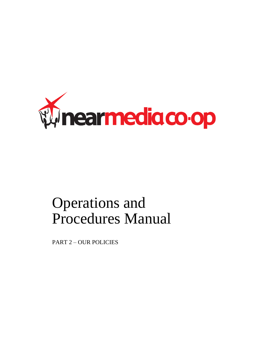

# Operations and Procedures Manual

PART 2 – OUR POLICIES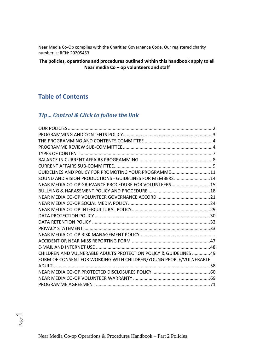Near Media Co-Op complies with the Charities Governance Code. Our registered charity number is; RCN: 20205453

**The policies, operations and procedures outlined within this handbook apply to all Near media Co – op volunteers and staff**

# **Table of Contents**

# *Tip… Control & Click to follow the link*

| GUIDELINES AND POLICY FOR PROMOTING YOUR PROGRAMME11              |  |
|-------------------------------------------------------------------|--|
| SOUND AND VISION PRODUCTIONS - GUIDELINES FOR MEMBERS14           |  |
| NEAR MEDIA CO-OP GRIEVANCE PROCEDURE FOR VOLUNTEERS15             |  |
|                                                                   |  |
|                                                                   |  |
|                                                                   |  |
|                                                                   |  |
|                                                                   |  |
|                                                                   |  |
|                                                                   |  |
|                                                                   |  |
|                                                                   |  |
|                                                                   |  |
| CHILDREN AND VULNERABLE ADULTS PROTECTION POLICY & GUIDELINES 49  |  |
| FORM OF CONSENT FOR WORKING WITH CHILDREN/YOUNG PEOPLE/VULNERABLE |  |
|                                                                   |  |
|                                                                   |  |
|                                                                   |  |
|                                                                   |  |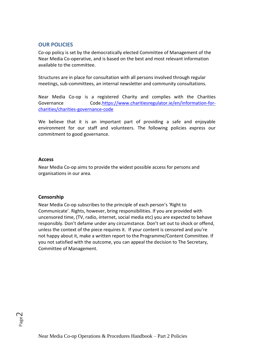# <span id="page-2-0"></span>**OUR POLICIES**

Co-op policy is set by the democratically elected Committee of Management of the Near Media Co-operative, and is based on the best and most relevant information available to the committee.

Structures are in place for consultation with all persons involved through regular meetings, sub-committees, an internal newsletter and community consultations.

Near Media Co-op is a registered Charity and complies with the Charities Governance Code[.https://www.charitiesregulator.ie/en/information-for](https://www.charitiesregulator.ie/en/information-for-charities/charities-governance-code)[charities/charities-governance-code](https://www.charitiesregulator.ie/en/information-for-charities/charities-governance-code)

We believe that it is an important part of providing a safe and enjoyable environment for our staff and volunteers. The following policies express our commitment to good governance.

## **Access**

Near Media Co-op aims to provide the widest possible access for persons and organisations in our area.

## **Censorship**

Near Media Co-op subscribes to the principle of each person's 'Right to Communicate'. Rights, however, bring responsibilities. If you are provided with uncensored time, (TV, radio, internet, social media etc) you are expected to behave responsibly. Don't defame under any circumstance. Don't set out to shock or offend, unless the context of the piece requires it. If your content is censored and you're not happy about it, make a written report to the Programme/Content Committee. If you not satisfied with the outcome, you can appeal the decision to The Secretary, Committee of Management.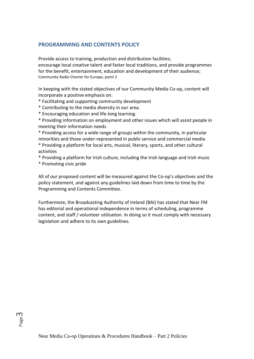# <span id="page-3-0"></span>**PROGRAMMING AND CONTENTS POLICY**

Provide access to training, production and distribution facilities; encourage local creative talent and faster local traditions, and provide programmes for the benefit, entertainment, education and development of their audience; Community Radio Charter for Europe, point 2

In keeping with the stated objectives of our Community Media Co-op, content will incorporate a positive emphasis on:

\* Facilitating and supporting community development

\* Contributing to the media diversity in our area.

\* Encouraging education and life-long learning.

\* Providing information on employment and other issues which will assist people in meeting their information needs

\* Providing access for a wide range of groups within the community, in particular minorities and those under-represented in public service and commercial media \* Providing a platform for local arts, musical, literary, sports, and other cultural

activities

\* Providing a platform for Irish culture, including the Irish language and Irish music

\* Promoting civic pride

All of our proposed content will be measured against the Co-op's objectives and the policy statement, and against any guidelines laid down from time to time by the Programming and Contents Committee.

Furthermore, the Broadcasting Authority of Ireland (BAI) has stated that Near FM has editorial and operational independence in terms of scheduling, programme content, and staff / volunteer utilisation. In doing so it must comply with necessary legislation and adhere to its own guidelines.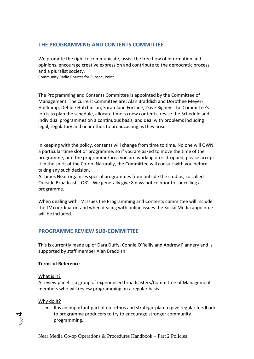# <span id="page-4-0"></span>**THE PROGRAMMING AND CONTENTS COMMITTEE**

We promote the right to communicate, assist the free flow of information and opinions, encourage creative expression and contribute to the democratic process and a pluralist society.

Community Radio Charter for Europe, Point 1.

The Programming and Contents Committee is appointed by the Committee of Management. The current Committee are; Alan Braddish and Dorothee Meyer-Holtkamp, Debbie Hutchinson, Sarah Jane Fortune, Dave Rigney. The Committee's job is to plan the schedule, allocate time to new contents, revise the Schedule and individual programmes on a continuous basis, and deal with problems including legal, regulatory and near ethos to broadcasting as they arise.

In keeping with the policy, contents will change from time to time. No one will OWN a particular time slot or programme, so if you are asked to move the time of the programme, or if the programme/area you are working on is dropped, please accept it in the spirit of the Co-op. Naturally, the Committee will consult with you before taking any such decision.

At times Near organises special programmes from outside the studios, so called Outside Broadcasts, OB's. We generally give 8 days notice prior to cancelling a programme.

When dealing with TV issues the Programming and Contents committee will include the TV coordinator, and when dealing with online issues the Social Media appointee will be included.

# <span id="page-4-1"></span>**PROGRAMME REVIEW SUB-COMMITTEE**

This is currently made up of Dara Duffy, Connie O'Reilly and Andrew Flannery and is supported by staff member Alan Braddish.

#### **Terms of Reference**

#### What is it?

A review panel is a group of experienced broadcasters/Committee of Management members who will review programming on a regular basis.

#### Why do it?

Page 4

It is an important part of our ethos and strategic plan to give regular feedback to programme producers to try to encourage stronger community programming.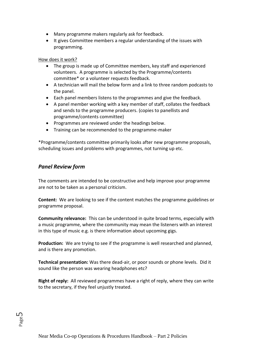- Many programme makers regularly ask for feedback.
- It gives Committee members a regular understanding of the issues with programming.

## How does it work?

- The group is made up of Committee members, key staff and experienced volunteers. A programme is selected by the Programme/contents committee\* or a volunteer requests feedback.
- A technician will mail the below form and a link to three random podcasts to the panel.
- Each panel members listens to the programmes and give the feedback.
- A panel member working with a key member of staff, collates the feedback and sends to the programme producers. (copies to panellists and programme/contents committee)
- Programmes are reviewed under the headings below.
- Training can be recommended to the programme-maker

\*Programme/contents committee primarily looks after new programme proposals, scheduling issues and problems with programmes, not turning up etc.

# *Panel Review form*

The comments are intended to be constructive and help improve your programme are not to be taken as a personal criticism.

**Content:** We are looking to see if the content matches the programme guidelines or programme proposal.

**Community relevance:** This can be understood in quite broad terms, especially with a music programme, where the community may mean the listeners with an interest in this type of music e.g. is there information about upcoming gigs.

**Production:** We are trying to see if the programme is well researched and planned, and is there any promotion.

**Technical presentation:** Was there dead-air, or poor sounds or phone levels. Did it sound like the person was wearing headphones etc?

**Right of reply:** All reviewed programmes have a right of reply, where they can write to the secretary, if they feel unjustly treated.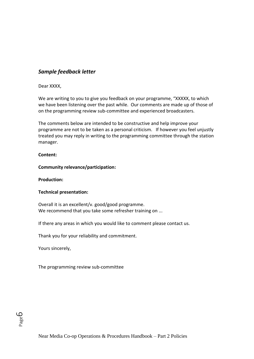# *Sample feedback letter*

Dear XXXX,

We are writing to you to give you feedback on your programme, "XXXXX, to which we have been listening over the past while. Our comments are made up of those of on the programming review sub-committee and experienced broadcasters.

The comments below are intended to be constructive and help improve your programme are not to be taken as a personal criticism. If however you feel unjustly treated you may reply in writing to the programming committee through the station manager.

## **Content:**

**Community relevance/participation:**

**Production:**

#### **Technical presentation:**

Overall it is an excellent/v. good/good programme. We recommend that you take some refresher training on ...

If there any areas in which you would like to comment please contact us.

Thank you for your reliability and commitment.

Yours sincerely,

The programming review sub-committee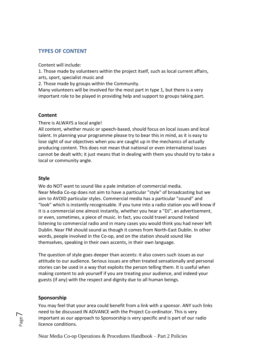# <span id="page-7-0"></span>**TYPES OF CONTENT**

Content will include:

1. Those made by volunteers within the project itself, such as local current affairs, arts, sport, specialist music and

2. Those made by groups within the Community.

Many volunteers will be involved for the most part in type 1, but there is a very important role to be played in providing help and support to groups taking part.

## **Content**

There is ALWAYS a local angle!

All content, whether music or speech-based, should focus on local issues and local talent. In planning your programme please try to bear this in mind, as it is easy to lose sight of our objectives when you are caught up in the mechanics of actually producing content. This does not mean that national or even international issues cannot be dealt with; it just means that in dealing with them you should try to take a local or community angle.

## **Style**

We do NOT want to sound like a pale imitation of commercial media. Near Media Co-op does not aim to have a particular "style" of broadcasting but we aim to AVOID particular styles. Commercial media has a particular "sound" and "look" which is instantly recognisable. If you tune into a radio station you will know if it is a commercial one almost instantly, whether you hear a "DJ", an advertisement, or even, sometimes, a piece of music. In fact, you could travel around Ireland listening to commercial radio and in many cases you would think you had never left Dublin. Near FM should sound as though it comes from North-East Dublin. In other words, people involved in the Co-op, and on the station should sound like themselves, speaking in their own accents, in their own language.

The question of style goes deeper than accents: it also covers such issues as our attitude to our audience. Serious issues are often treated sensationally and personal stories can be used in a way that exploits the person telling them. It is useful when making content to ask yourself if you are treating your audience, and indeed your guests (if any) with the respect and dignity due to all human beings.

## **Sponsorship**

Page  $\overline{\phantom{1}}$ 

You may feel that your area could benefit from a link with a sponsor. ANY such links need to be discussed IN ADVANCE with the Project Co-ordinator. This is very important as our approach to Sponsorship is very specific and is part of our radio licence conditions.

Near Media Co-op Operations & Procedures Handbook – Part 2 Policies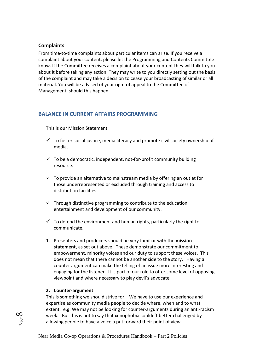## **Complaints**

From time-to-time complaints about particular items can arise. If you receive a complaint about your content, please let the Programming and Contents Committee know. If the Committee receives a complaint about your content they will talk to you about it before taking any action. They may write to you directly setting out the basis of the complaint and may take a decision to cease your broadcasting of similar or all material. You will be advised of your right of appeal to the Committee of Management, should this happen.

# <span id="page-8-0"></span>**BALANCE IN CURRENT AFFAIRS PROGRAMMING**

This is our Mission Statement

- $\checkmark$  To foster social justice, media literacy and promote civil society ownership of media.
- $\checkmark$  To be a democratic, independent, not-for-profit community building resource.
- $\checkmark$  To provide an alternative to mainstream media by offering an outlet for those underrepresented or excluded through training and access to distribution facilities.
- $\checkmark$  Through distinctive programming to contribute to the education, entertainment and development of our community.
- $\checkmark$  To defend the environment and human rights, particularly the right to communicate.
- 1. Presenters and producers should be very familiar with the **mission statement,** as set out above. These demonstrate our commitment to empowerment, minority voices and our duty to support these voices. This does not mean that there cannot be another side to the story. Having a counter argument can make the telling of an issue more interesting and engaging for the listener. It is part of our role to offer some level of opposing viewpoint and where necessary to play devil's advocate.

## **2. Counter-argument**

This is something we should strive for. We have to use our experience and expertise as community media people to decide where, when and to what extent. e.g. We may not be looking for counter-arguments during an anti-racism week. But this is not to say that xenophobia couldn't better challenged by allowing people to have a voice a put forward their point of view.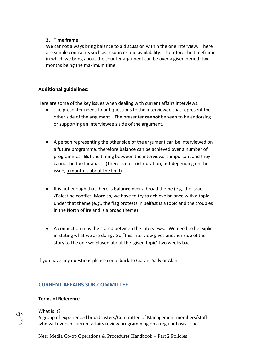## **3. Time frame**

We cannot always bring balance to a discussion within the one interview. There are simple contraints such as resources and availability. Therefore the timeframe in which we bring about the counter argument can be over a given period, two months being the maximum time.

# **Additional guidelines:**

Here are some of the key issues when dealing with current affairs interviews.

- The presenter needs to put questions to the interviewee that represent the other side of the argument. The presenter **cannot** be seen to be endorsing or supporting an interviewee's side of the argument.
- A person representing the other side of the argument can be interviewed on a future programme, therefore balance can be achieved over a number of programmes**. But** the timing between the interviews is important and they cannot be too far apart. (There is no strict duration, but depending on the issue, a month is about the limit)
- It is not enough that there is **balance** over a broad theme (e.g. the Israel /Palestine conflict) More so, we have to try to achieve balance with a topic under that theme (e.g., the flag protests in Belfast is a topic and the troubles in the North of Ireland is a broad theme)
- A connection must be stated between the interviews. We need to be explicit in stating what we are doing. So "this interview gives another side of the story to the one we played about the 'given topic' two weeks back.

If you have any questions please come back to Ciaran, Sally or Alan.

# <span id="page-9-0"></span>**CURRENT AFFAIRS SUB-COMMITTEE**

## **Terms of Reference**

Page  $\mathcal O$ 

## What is it?

A group of experienced broadcasters/Committee of Management members/staff who will oversee current affairs review programming on a regular basis. The

Near Media Co-op Operations & Procedures Handbook – Part 2 Policies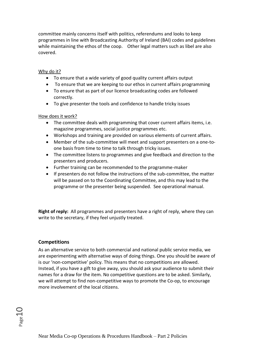committee mainly concerns itself with politics, referendums and looks to keep programmes in line with Broadcasting Authority of Ireland (BAI) codes and guidelines while maintaining the ethos of the coop. Other legal matters such as libel are also covered.

# Why do it?

- To ensure that a wide variety of good quality current affairs output
- To ensure that we are keeping to our ethos in current affairs programming
- To ensure that as part of our licence broadcasting codes are followed correctly.
- To give presenter the tools and confidence to handle tricky issues

## How does it work?

- The committee deals with programming that cover current affairs items, i.e. magazine programmes, social justice programmes etc.
- Workshops and training are provided on various elements of current affairs.
- Member of the sub-committee will meet and support presenters on a one-toone basis from time to time to talk through tricky issues.
- The committee listens to programmes and give feedback and direction to the presenters and producers.
- Further training can be recommended to the programme-maker
- If presenters do not follow the instructions of the sub-committee, the matter will be passed on to the Coordinating Committee, and this may lead to the programme or the presenter being suspended. See operational manual.

**Right of reply:** All programmes and presenters have a right of reply, where they can write to the secretary, if they feel unjustly treated.

## **Competitions**

As an alternative service to both commercial and national public service media, we are experimenting with alternative ways of doing things. One you should be aware of is our 'non-competitive' policy. This means that no competitions are allowed. Instead, if you have a gift to give away, you should ask your audience to submit their names for a draw for the item. No competitive questions are to be asked. Similarly, we will attempt to find non-competitive ways to promote the Co-op, to encourage more involvement of the local citizens.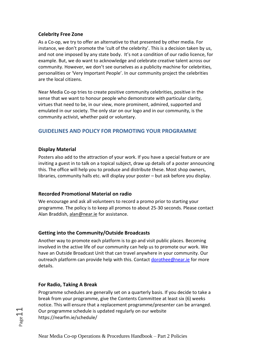## **Celebrity Free Zone**

As a Co-op, we try to offer an alternative to that presented by other media. For instance, we don't promote the 'cult of the celebrity'. This is a decision taken by us, and not one imposed by any state body. It's not a condition of our radio licence, for example. But, we do want to acknowledge and celebrate creative talent across our community. However, we don't see ourselves as a publicity machine for celebrities, personalities or 'Very Important People'. In our community project the celebrities are the local citizens.

Near Media Co-op tries to create positive community celebrities, positive in the sense that we want to honour people who demonstrate with particular clarity, virtues that need to be, in our view, more prominent, admired, supported and emulated in our society. The only star on our logo and in our community, is the community activist, whether paid or voluntary.

# <span id="page-11-0"></span>**GUIDELINES AND POLICY FOR PROMOTING YOUR PROGRAMME**

## **Display Material**

Posters also add to the attraction of your work. If you have a special feature or are inviting a guest in to talk on a topical subject, draw up details of a poster announcing this. The office will help you to produce and distribute these. Most shop owners, libraries, community halls etc. will display your poster – but ask before you display.

# **Recorded Promotional Material on radio**

We encourage and ask all volunteers to record a promo prior to starting your programme. The policy is to keep all promos to about 25-30 seconds. Please contact Alan Braddish, [alan@near.ie](mailto:alan@near.ie) for assistance.

# **Getting into the Community/Outside Broadcasts**

Another way to promote each platform is to go and visit public places. Becoming involved in the active life of our community can help us to promote our work. We have an Outside Broadcast Unit that can travel anywhere in your community. Our outreach platform can provide help with this. Contact [dorothee@near.ie](mailto:dorothee@near.ie) for more details.

# **For Radio, Taking A Break**

Programme schedules are generally set on a quarterly basis. If you decide to take a break from your programme, give the Contents Committee at least six (6) weeks notice. This will ensure that a replacement programme/presenter can be arranged. Our programme schedule is updated regularly on our website https://nearfm.ie/schedule/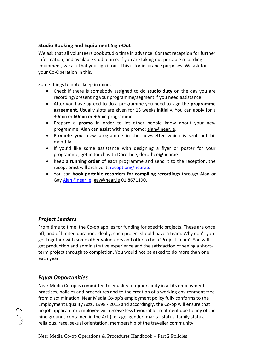# **Studio Booking and Equipment Sign-Out**

We ask that all volunteers book studio time in advance. Contact reception for further information, and available studio time. If you are taking out portable recording equipment, we ask that you sign it out. This is for insurance purposes. We ask for your Co-Operation in this.

Some things to note, keep in mind:

- Check if there is somebody assigned to do **studio duty** on the day you are recording/presenting your programme/segment if you need assistance.
- After you have agreed to do a programme you need to sign the **programme agreement**. Usually slots are given for 13 weeks initially. You can apply for a 30min or 60min or 90min programme.
- Prepare a **promo** in order to let other people know about your new programme. Alan can assist with the promo: [alan@near.ie.](mailto:alan@near.ie)
- Promote your new programme in the newsletter which is sent out bimonthly.
- If you'd like some assistance with designing a flyer or poster for your programme, get in touch with Dorothee, dorothee@near.ie
- Keep a **running order** of each programme and send it to the reception, the receptionist will archive it: [reception@near.ie.](mailto:reception@near.ie)
- You can **book portable recorders for compiling recordings** through Alan or Gay [Alan@near.ie,](mailto:Alan@near.ie) [gay@near.ie](mailto:gay@near.ie) 01.8671190.

# *Project Leaders*

From time to time, the Co-op applies for funding for specific projects. These are once off, and of limited duration. Ideally, each project should have a team. Why don't you get together with some other volunteers and offer to be a 'Project Team'. You will get production and administrative experience and the satisfaction of seeing a shortterm project through to completion. You would not be asked to do more than one each year.

# *Equal Opportunities*

Near Media Co-op is committed to equality of opportunity in all its employment practices, policies and procedures and to the creation of a working environment free from discrimination. Near Media Co-op's employment policy fully conforms to the Employment Equality Acts, 1998 - 2015 and accordingly, the Co-op will ensure that no job applicant or employee will receive less favourable treatment due to any of the nine grounds contained in the Act (i.e. age, gender, marital status, family status, religious, race, sexual orientation, membership of the traveller community,

Near Media Co-op Operations & Procedures Handbook – Part 2 Policies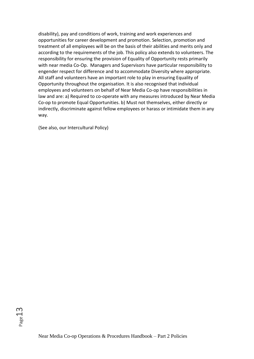disability), pay and conditions of work, training and work experiences and opportunities for career development and promotion. Selection, promotion and treatment of all employees will be on the basis of their abilities and merits only and according to the requirements of the job. This policy also extends to volunteers. The responsibility for ensuring the provision of Equality of Opportunity rests primarily with near media Co-Op. Managers and Supervisors have particular responsibility to engender respect for difference and to accommodate Diversity where appropriate. All staff and volunteers have an important role to play in ensuring Equality of Opportunity throughout the organisation. It is also recognised that individual employees and volunteers on behalf of Near Media Co-op have responsibilities in law and are: a) Required to co-operate with any measures introduced by Near Media Co-op to promote Equal Opportunities. b) Must not themselves, either directly or indirectly, discriminate against fellow employees or harass or intimidate them in any way.

(See also, our Intercultural Policy)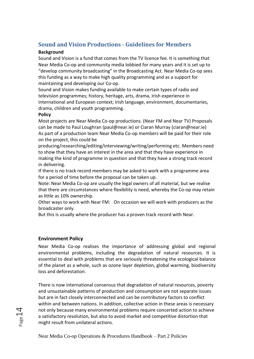# <span id="page-14-0"></span>**Sound and Vision Productions - Guidelines for Members**

## **Background**

Sound and Vision is a fund that comes from the TV licence fee. It is something that Near Media Co-op and community media lobbied for many years and it is set up to "develop community broadcasting" in the Broadcasting Act. Near Media Co-op sees this funding as a way to make high quality programming and as a support for maintaining and developing our Co-op.

Sound and Vision makes funding available to make certain types of radio and television programmes; history, heritage, arts, drama, Irish experience in international and European context; Irish language, environment, documentaries, drama, children and youth programming.

## **Policy**

Most projects are Near Media Co-op productions. (Near FM and Near TV) Proposals can be made to Paul Loughran (paul@near.ie) or Ciaran Murray (ciaran@near.ie) As part of a production team Near Media Co-op members will be paid for their role on the project, this could be

producing/researching/editing/interviewing/writing/performing etc. Members need to show that they have an interest in the area and that they have experience in making the kind of programme in question and that they have a strong track record in delivering.

If there is no track record members may be asked to work with a programme area for a period of time before the proposal can be taken up.

Note: Near Media Co-op are usually the legal owners of all material, but we realise that there are circumstances where flexibility is need, whereby the Co-op may retain as little as 10% ownership.

Other ways to work with Near FM: On occasion we will work with producers as the broadcaster only.

But this is usually where the producer has a proven track record with Near.

## **Environment Policy**

Page14

Near Media Co-op realises the importance of addressing global and regional environmental problems, including the degradation of natural resources. It is essential to deal with problems that are seriously threatening the ecological balance of the planet as a whole, such as ozone layer depletion, global warming, biodiversity loss and deforestation.

There is now international consensus that degradation of natural resources, poverty and unsustainable patterns of production and consumption are not separate issues but are in fact closely interconnected and can be contributory factors to conflict within and between nations. In addition, collective action in these areas is necessary not only because many environmental problems require concerted action to achieve a satisfactory resolution, but also to avoid market and competitive distortion that might result from unilateral actions.

Near Media Co-op Operations & Procedures Handbook – Part 2 Policies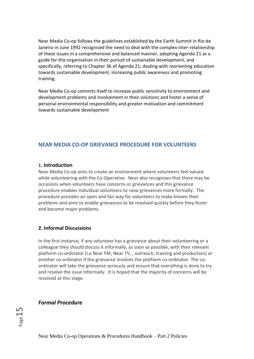Near Media Co-op follows the guidelines established by the Earth Summit in Rio de Janeiro in June 1992 recognised the need to deal with the complex inter-relationship of these issues in a comprehensive and balanced manner, adopting Agenda 21 as a guide for this organisation in their pursuit of sustainable development, and specifically, referring to Chapter 36 of Agenda 21, dealing with reorienting education towards sustainable development, increasing public awareness and promoting training.

Near Media Co-op commits itself to increase public sensitivity to environment and development problems and involvement in their solutions and foster a sense of personal environmental responsibility and greater motivation and commitment towards sustainable development

# <span id="page-15-0"></span>**NEAR MEDIA CO-OP GRIEVANCE PROCEDURE FOR VOLUNTEERS**

#### **1. Introduction**

Near Media Co-op aims to create an environment where volunteers feel valued while volunteering with the Co-Operative. Near also recognises that there may be occasions when volunteers have concerns or grievances and this grievance procedure enables individual volunteers to raise grievances more formally. The procedure provides an open and fair way for volunteers to make known their problems and aims to enable grievances to be resolved quickly before they fester and become major problems.

# **2. Informal Discussions**

In the first instance, if any volunteer has a grievance about their volunteering or a colleague they should discuss it informally, as soon as possible, with their relevant platform co-ordinator (i.e Near FM, Near TV, , outreach, training and production) or another co-ordinator if the grievance involves the platform co-ordinator. The coordinator will take the grievance seriously and ensure that everything is done to try and resolve the issue informally. It is hoped that the majority of concerns will be resolved at this stage.

## *Formal Procedure*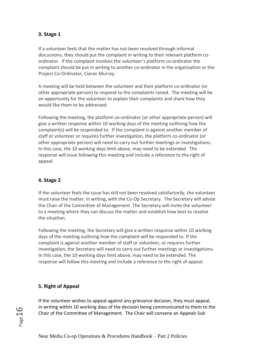# **3. Stage 1**

If a volunteer feels that the matter has not been resolved through informal discussions, they should put the complaint in writing to their relevant platform coordinator. If the complaint involves the volunteer's platform co-ordinator the complaint should be put in writing to another co-ordinator in the organisation or the Project Co-Ordinator, Ciaran Murray.

A meeting will be held between the volunteer and their platform co-ordinator (or other appropriate person) to respond to the complaints raised. The meeting will be an opportunity for the volunteer to explain their complaints and share how they would like them to be addressed.

Following the meeting, the platform co-ordinator (or other appropriate person) will give a written response within 10 working days of the meeting outlining how the complaint(s) will be responded to. If the complaint is against another member of staff or volunteer or requires further investigation, the platform co-ordinator (or other appropriate person) will need to carry out further meetings or investigations. In this case, the 10 working days limit above, may need to be extended. The response will issue following this meeting and include a reference to the right of appeal.

# **4. Stage 2**

If the volunteer feels the issue has still not been resolved satisfactorily, the volunteer must raise the matter, in writing, with the Co-Op Secretary. The Secretary will advise the Chair of the Committee of Management. The Secretary will invite the volunteer to a meeting where they can discuss the matter and establish how best to resolve the situation.

Following the meeting, the Secretary will give a written response within 10 working days of the meeting outlining how the complaint will be responded to. If the complaint is against another member of staff or volunteer, or requires further investigation, the Secretary will need to carry out further meetings or investigations. In this case, the 10 working days limit above, may need to be extended. The response will follow this meeting and include a reference to the right of appeal.

# **5. Right of Appeal**

If the volunteer wishes to appeal against any grievance decision, they must appeal, in writing within 10 working days of the decision being communicated to them to the Chair of the Committee of Management. The Chair will convene an Appeals Sub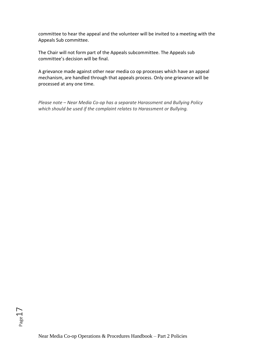committee to hear the appeal and the volunteer will be invited to a meeting with the Appeals Sub committee.

The Chair will not form part of the Appeals subcommittee. The Appeals sub committee's decision will be final.

A grievance made against other near media co op processes which have an appeal mechanism, are handled through that appeals process. Only one grievance will be processed at any one time.

*Please note – Near Media Co-op has a separate Harassment and Bullying Policy which should be used if the complaint relates to Harassment or Bullying.*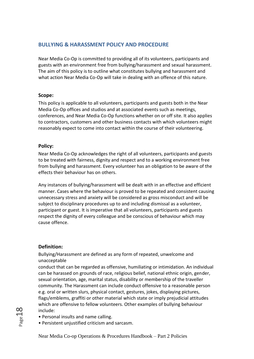# <span id="page-18-0"></span>**BULLYING & HARASSMENT POLICY AND PROCEDURE**

Near Media Co-Op is committed to providing all of its volunteers, participants and guests with an environment free from bullying/harassment and sexual harassment. The aim of this policy is to outline what constitutes bullying and harassment and what action Near Media Co-Op will take in dealing with an offence of this nature.

# **Scope:**

This policy is applicable to all volunteers, participants and guests both in the Near Media Co-Op offices and studios and at associated events such as meetings, conferences, and Near Media Co-Op functions whether on or off site. It also applies to contractors, customers and other business contacts with which volunteers might reasonably expect to come into contact within the course of their volunteering.

# **Policy:**

Near Media Co-Op acknowledges the right of all volunteers, participants and guests to be treated with fairness, dignity and respect and to a working environment free from bullying and harassment. Every volunteer has an obligation to be aware of the effects their behaviour has on others.

Any instances of bullying/harassment will be dealt with in an effective and efficient manner. Cases where the behaviour is proved to be repeated and consistent causing unnecessary stress and anxiety will be considered as gross misconduct and will be subject to disciplinary procedures up to and including dismissal as a volunteer, participant or guest. It is imperative that all volunteers, participants and guests respect the dignity of every colleague and be conscious of behaviour which may cause offence.

## **Definition:**

Bullying/Harassment are defined as any form of repeated, unwelcome and unacceptable

conduct that can be regarded as offensive, humiliating or intimidation. An individual can be harassed on grounds of race, religious belief, national ethnic origin, gender, sexual orientation, age, marital status, disability or membership of the traveller community. The Harassment can include conduct offensive to a reasonable person e.g. oral or written slurs, physical contact, gestures, jokes, displaying pictures, flags/emblems, graffiti or other material which state or imply prejudicial attitudes which are offensive to fellow volunteers. Other examples of bullying behaviour include:



- Personal insults and name calling.
- Persistent unjustified criticism and sarcasm.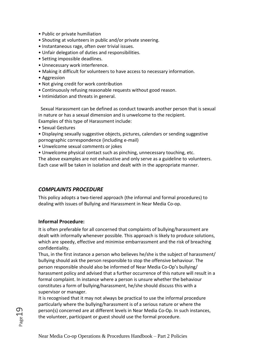- Public or private humiliation
- Shouting at volunteers in public and/or private sneering.
- Instantaneous rage, often over trivial issues.
- Unfair delegation of duties and responsibilities.
- Setting impossible deadlines.
- Unnecessary work interference.
- Making it difficult for volunteers to have access to necessary information.
- Aggression
- Not giving credit for work contribution
- Continuously refusing reasonable requests without good reason.
- Intimidation and threats in general.

 Sexual Harassment can be defined as conduct towards another person that is sexual in nature or has a sexual dimension and is unwelcome to the recipient. Examples of this type of Harassment include:

- Sexual Gestures
- Displaying sexually suggestive objects, pictures, calendars or sending suggestive pornographic correspondence (including e-mail)
- Unwelcome sexual comments or jokes
- Unwelcome physical contact such as pinching, unnecessary touching, etc.

The above examples are not exhaustive and only serve as a guideline to volunteers. Each case will be taken in isolation and dealt with in the appropriate manner.

## *COMPLAINTS PROCEDURE*

This policy adopts a two-tiered approach (the informal and formal procedures) to dealing with issues of Bullying and Harassment in Near Media Co-op.

### **Informal Procedure:**

It is often preferable for all concerned that complaints of bullying/harassment are dealt with informally whenever possible. This approach is likely to produce solutions, which are speedy, effective and minimise embarrassment and the risk of breaching confidentiality.

Thus, in the first instance a person who believes he/she is the subject of harassment/ bullying should ask the person responsible to stop the offensive behaviour. The person responsible should also be informed of Near Media Co-Op's bullying/ harassment policy and advised that a further occurrence of this nature will result in a formal complaint. In instance where a person is unsure whether the behaviour constitutes a form of bullying/harassment, he/she should discuss this with a supervisor or manager.

It is recognised that it may not always be practical to use the informal procedure particularly where the bullying/harassment is of a serious nature or where the person(s) concerned are at different levels in Near Media Co-Op. In such instances, the volunteer, participant or guest should use the formal procedure.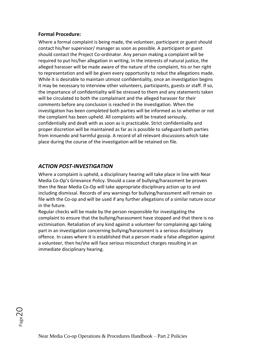## **Formal Procedure:**

Where a formal complaint is being made, the volunteer, participant or guest should contact his/her supervisor/ manager as soon as possible. A participant or guest should contact the Project Co-ordinator. Any person making a complaint will be required to put his/her allegation in writing. In the interests of natural justice, the alleged harasser will be made aware of the nature of the complaint, his or her right to representation and will be given every opportunity to rebut the allegations made. While it is desirable to maintain utmost confidentiality, once an investigation begins it may be necessary to interview other volunteers, participants, guests or staff. If so, the importance of confidentiality will be stressed to them and any statements taken will be circulated to both the complainant and the alleged harasser for their comments before any conclusion is reached in the investigation. When the investigation has been completed both parties will be informed as to whether or not the complaint has been upheld. All complaints will be treated seriously, confidentially and dealt with as soon as is practicable. Strict confidentiality and proper discretion will be maintained as far as is possible to safeguard both parties from innuendo and harmful gossip. A record of all relevant discussions which take place during the course of the investigation will be retained on file.

# *ACTION POST-INVESTIGATION*

Where a complaint is upheld, a disciplinary hearing will take place in line with Near Media Co-Op's Grievance Policy. Should a case of bullying/harassment be proven then the Near Media Co-Op will take appropriate disciplinary action up to and including dismissal. Records of any warnings for bullying/harassment will remain on file with the Co-op and will be used if any further allegations of a similar nature occur in the future.

Regular checks will be made by the person responsible for investigating the complaint to ensure that the bullying/harassment have stopped and that there is no victimisation. Retaliation of any kind against a volunteer for complaining ago taking part in an investigation concerning bullying/harassment is a serious disciplinary offence. In cases where it is established that a person made a false allegation against a volunteer, then he/she will face serious misconduct charges resulting in an immediate disciplinary hearing.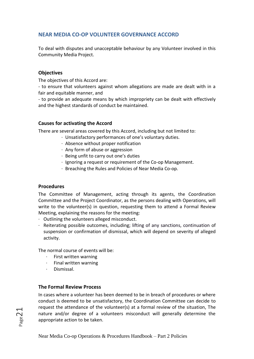# <span id="page-21-0"></span>**NEAR MEDIA CO-OP VOLUNTEER GOVERNANCE ACCORD**

To deal with disputes and unacceptable behaviour by any Volunteer involved in this Community Media Project.

#### **Objectives**

The objectives of this Accord are:

- to ensure that volunteers against whom allegations are made are dealt with in a fair and equitable manner, and

- to provide an adequate means by which impropriety can be dealt with effectively and the highest standards of conduct be maintained.

#### **Causes for activating the Accord**

There are several areas covered by this Accord, including but not limited to:

- · Unsatisfactory performances of one's voluntary duties.
- · Absence without proper notification
- · Any form of abuse or aggression
- · Being unfit to carry out one's duties
- · Ignoring a request or requirement of the Co-op Management.
- · Breaching the Rules and Policies of Near Media Co-op.

## **Procedures**

The Committee of Management, acting through its agents, the Coordination Committee and the Project Coordinator, as the persons dealing with Operations, will write to the volunteer(s) in question, requesting them to attend a Formal Review Meeting, explaining the reasons for the meeting:

- · Outlining the volunteers alleged misconduct.
- · Reiterating possible outcomes, including; lifting of any sanctions, continuation of suspension or confirmation of dismissal, which will depend on severity of alleged activity.

The normal course of events will be:

- · First written warning
- Final written warning
- Dismissal.

## **The Formal Review Process**

In cases where a volunteer has been deemed to be in breach of procedures or where conduct is deemed to be unsatisfactory, the Coordination Committee can decide to request the attendance of the volunteer(s) at a formal review of the situation, The nature and/or degree of a volunteers misconduct will generally determine the appropriate action to be taken.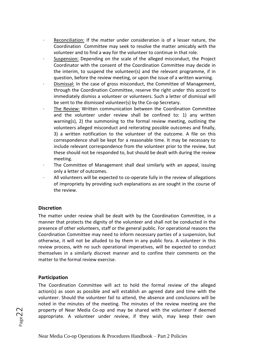- Reconciliation: If the matter under consideration is of a lesser nature, the Coordination Committee may seek to resolve the matter amicably with the volunteer and to find a way for the volunteer to continue in that role.
- Suspension: Depending on the scale of the alleged misconduct, the Project Coordinator with the consent of the Coordination Committee may decide in the interim, to suspend the volunteer(s) and the relevant programme, if in question, before the review meeting, or upon the issue of a written warning.
- Dismissal: In the case of gross misconduct, the Committee of Management, through the Coordination Committee, reserve the right under this accord to immediately dismiss a volunteer or volunteers. Such a letter of dismissal will be sent to the dismissed volunteer(s) by the Co-op Secretary.
- The Review: Written communication between the Coordination Committee and the volunteer under review shall be confined to: 1) any written warning(s), 2) the summoning to the formal review meeting, outlining the volunteers alleged misconduct and reiterating possible outcomes and finally, 3) a written notification to the volunteer of the outcome. A file on this correspondence shall be kept for a reasonable time. It may be necessary to include relevant correspondence from the volunteer prior to the review, but these should not be responded to, but should be dealt with during the review meeting.
- The Committee of Management shall deal similarly with an appeal, issuing only a letter of outcomes.
- All volunteers will be expected to co-operate fully in the review of allegations of impropriety by providing such explanations as are sought in the course of the review.

## **Discretion**

The matter under review shall be dealt with by the Coordination Committee, in a manner that protects the dignity of the volunteer and shall not be conducted in the presence of other volunteers, staff or the general public. For operational reasons the Coordination Committee may need to inform necessary parties of a suspension, but otherwise, it will not be alluded to by them in any public fora. A volunteer in this review process, with no such operational imperatives, will be expected to conduct themselves in a similarly discreet manner and to confine their comments on the matter to the formal review exercise.

#### **Participation**

The Coordination Committee will act to hold the formal review of the alleged action(s) as soon as possible and will establish an agreed date and time with the volunteer. Should the volunteer fail to attend, the absence and conclusions will be noted in the minutes of the meeting. The minutes of the review meeting are the property of Near Media Co-op and may be shared with the volunteer if deemed appropriate. A volunteer under review, if they wish, may keep their own

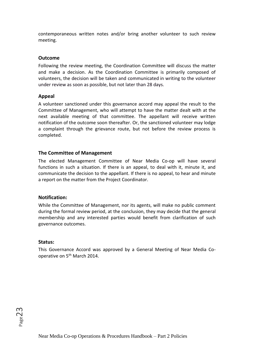contemporaneous written notes and/or bring another volunteer to such review meeting.

## **Outcome**

Following the review meeting, the Coordination Committee will discuss the matter and make a decision. As the Coordination Committee is primarily composed of volunteers, the decision will be taken and communicated in writing to the volunteer under review as soon as possible, but not later than 28 days.

## **Appeal**

A volunteer sanctioned under this governance accord may appeal the result to the Committee of Management, who will attempt to have the matter dealt with at the next available meeting of that committee. The appellant will receive written notification of the outcome soon thereafter. Or, the sanctioned volunteer may lodge a complaint through the grievance route, but not before the review process is completed.

## **The Committee of Management**

The elected Management Committee of Near Media Co-op will have several functions in such a situation. If there is an appeal, to deal with it, minute it, and communicate the decision to the appellant. If there is no appeal, to hear and minute a report on the matter from the Project Coordinator.

#### **Notification:**

While the Committee of Management, nor its agents, will make no public comment during the formal review period, at the conclusion, they may decide that the general membership and any interested parties would benefit from clarification of such governance outcomes.

#### **Status:**

This Governance Accord was approved by a General Meeting of Near Media Cooperative on 5<sup>th</sup> March 2014.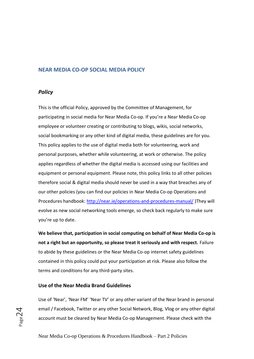## <span id="page-24-0"></span>**NEAR MEDIA CO-OP SOCIAL MEDIA POLICY**

## *Policy*

This is the official Policy, approved by the Committee of Management, for participating in social media for Near Media Co-op. If you're a Near Media Co-op employee or volunteer creating or contributing to blogs, wikis, social networks, social bookmarking or any other kind of digital media, these guidelines are for you. This policy applies to the use of digital media both for volunteering, work and personal purposes, whether while volunteering, at work or otherwise. The policy applies regardless of whether the digital media is accessed using our facilities and equipment or personal equipment. Please note, this policy links to all other policies therefore social & digital media should never be used in a way that breaches any of our other policies (you can find our policies in Near Media Co-op Operations and Procedures handbook:<http://near.ie/operations-and-procedures-manual/> )They will evolve as new social networking tools emerge, so check back regularly to make sure you're up to date.

**We believe that, participation in social computing on behalf of Near Media Co-op is not a right but an opportunity, so please treat it seriously and with respect.** Failure to abide by these guidelines or the Near Media Co-op internet safety guidelines contained in this policy could put your participation at risk. Please also follow the terms and conditions for any third-party sites.

#### **Use of the Near Media Brand Guidelines**

Use of 'Near', 'Near FM' 'Near TV' or any other variant of the Near brand in personal email / Facebook, Twitter or any other Social Network, Blog, Vlog or any other digital account must be cleared by Near Media Co-op Management. Please check with the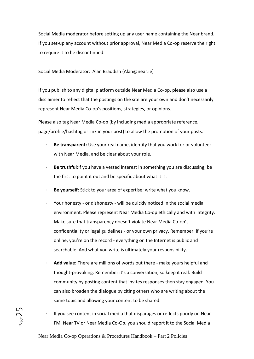Social Media moderator before setting up any user name containing the Near brand. If you set-up any account without prior approval, Near Media Co-op reserve the right to require it to be discontinued.

Social Media Moderator: Alan Braddish (Alan@near.ie)

If you publish to any digital platform outside Near Media Co-op, please also use a disclaimer to reflect that the postings on the site are your own and don't necessarily represent Near Media Co-op's positions, strategies, or opinions.

Please also tag Near Media Co-op (by including media appropriate reference, page/profile/hashtag or link in your post) to allow the promotion of your posts.

- · **Be transparent:** Use your real name, identify that you work for or volunteer with Near Media, and be clear about your role.
- · **Be truthful:**If you have a vested interest in something you are discussing; be the first to point it out and be specific about what it is.
- · **Be yourself:** Stick to your area of expertise; write what you know.
- · Your honesty or dishonesty will be quickly noticed in the social media environment. Please represent Near Media Co-op ethically and with integrity. Make sure that transparency doesn't violate Near Media Co-op's confidentiality or legal guidelines - or your own privacy. Remember, if you're online, you're on the record - everything on the Internet is public and searchable. And what you write is ultimately your responsibility.
- Add value: There are millions of words out there make yours helpful and thought-provoking. Remember it's a conversation, so keep it real. Build community by posting content that invites responses then stay engaged. You can also broaden the dialogue by citing others who are writing about the same topic and allowing your content to be shared.
- · If you see content in social media that disparages or reflects poorly on Near FM, Near TV or Near Media Co-Op, you should report it to the Social Media

Near Media Co-op Operations & Procedures Handbook – Part 2 Policies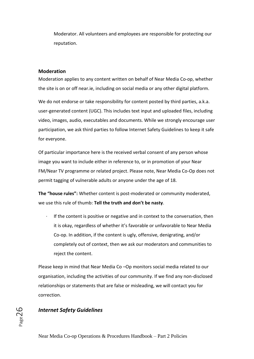Moderator. All volunteers and employees are responsible for protecting our reputation.

#### **Moderation**

Moderation applies to any content written on behalf of Near Media Co-op, whether the site is on or off near.ie, including on social media or any other digital platform.

We do not endorse or take responsibility for content posted by third parties, a.k.a. user-generated content (UGC). This includes text input and uploaded files, including video, images, audio, executables and documents. While we strongly encourage user participation, we ask third parties to follow Internet Safety Guidelines to keep it safe for everyone.

Of particular importance here is the received verbal consent of any person whose image you want to include either in reference to, or in promotion of your Near FM/Near TV programme or related project. Please note, Near Media Co-Op does not permit tagging of vulnerable adults or anyone under the age of 18.

**The "house rules":** Whether content is post-moderated or community moderated, we use this rule of thumb: **Tell the truth and don't be nasty**.

If the content is positive or negative and in context to the conversation, then it is okay, regardless of whether it's favorable or unfavorable to Near Media Co-op. In addition, if the content is ugly, offensive, denigrating, and/or completely out of context, then we ask our moderators and communities to reject the content.

Please keep in mind that Near Media Co –Op monitors social media related to our organisation, including the activities of our community. If we find any non-disclosed relationships or statements that are false or misleading, we will contact you for correction.

## *Internet Safety Guidelines*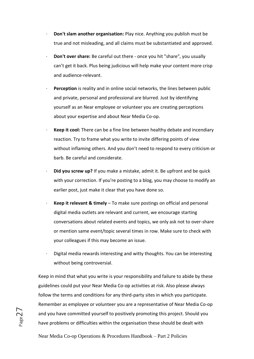- · **Don't slam another organisation:** Play nice. Anything you publish must be true and not misleading, and all claims must be substantiated and approved.
- · **Don't over share:** Be careful out there once you hit "share", you usually can't get it back. Plus being judicious will help make your content more crisp and audience-relevant.
- **Perception** is reality and in online social networks, the lines between public and private, personal and professional are blurred. Just by identifying yourself as an Near employee or volunteer you are creating perceptions about your expertise and about Near Media Co-op.
- Keep it cool: There can be a fine line between healthy debate and incendiary reaction. Try to frame what you write to invite differing points of view without inflaming others. And you don't need to respond to every criticism or barb. Be careful and considerate.
- **Did you screw up?** If you make a mistake, admit it. Be upfront and be quick with your correction. If you're posting to a blog, you may choose to modify an earlier post, just make it clear that you have done so.
- **Keep it relevant & timely** To make sure postings on official and personal digital media outlets are relevant and current, we encourage starting conversations about related events and topics, we only ask not to over-share or mention same event/topic several times in row. Make sure to check with your colleagues if this may become an issue.
- Digital media rewards interesting and witty thoughts. You can be interesting without being controversial.

Keep in mind that what you write is your responsibility and failure to abide by these guidelines could put your Near Media Co-op activities at risk. Also please always follow the terms and conditions for any third-party sites in which you participate. Remember as employee or volunteer you are a representative of Near Media Co-op and you have committed yourself to positively promoting this project. Should you have problems or difficulties within the organisation these should be dealt with



Near Media Co-op Operations & Procedures Handbook – Part 2 Policies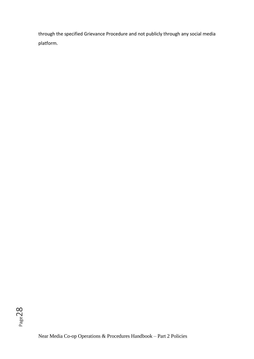through the specified Grievance Procedure and not publicly through any social media platform.

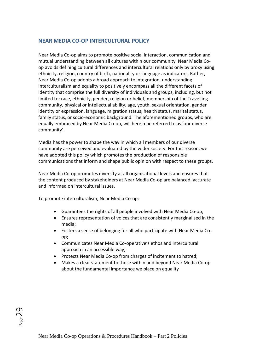# <span id="page-29-0"></span>**NEAR MEDIA CO-OP INTERCULTURAL POLICY**

Near Media Co-op aims to promote positive social interaction, communication and mutual understanding between all cultures within our community. Near Media Coop avoids defining cultural differences and intercultural relations only by proxy using ethnicity, religion, country of birth, nationality or language as indicators. Rather, Near Media Co-op adopts a broad approach to integration, understanding interculturalism and equality to positively encompass all the different facets of identity that comprise the full diversity of individuals and groups, including, but not limited to: race, ethnicity, gender, religion or belief, membership of the Travelling community, physical or intellectual ability, age, youth, sexual orientation, gender identity or expression, language, migration status, health status, marital status, family status, or socio-economic background. The aforementioned groups, who are equally embraced by Near Media Co-op, will herein be referred to as 'our diverse community'.

Media has the power to shape the way in which all members of our diverse community are perceived and evaluated by the wider society. For this reason, we have adopted this policy which promotes the production of responsible communications that inform and shape public opinion with respect to these groups.

Near Media Co-op promotes diversity at all organisational levels and ensures that the content produced by stakeholders at Near Media Co-op are balanced, accurate and informed on intercultural issues.

To promote interculturalism, Near Media Co-op:

- Guarantees the rights of all people involved with Near Media Co-op;
- Ensures representation of voices that are consistently marginalised in the media;
- Fosters a sense of belonging for all who participate with Near Media Coop;
- Communicates Near Media Co-operative's ethos and intercultural approach in an accessible way;
- Protects Near Media Co-op from charges of incitement to hatred;
- Makes a clear statement to those within and beyond Near Media Co-op about the fundamental importance we place on equality

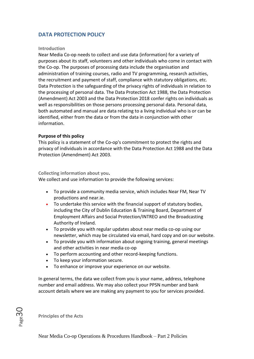# <span id="page-30-0"></span>**DATA PROTECTION POLICY**

#### **Introduction**

Near Media Co-op needs to collect and use data (information) for a variety of purposes about its staff, volunteers and other individuals who come in contact with the Co-op. The purposes of processing data include the organisation and administration of training courses, radio and TV programming, research activities, the recruitment and payment of staff, compliance with statutory obligations, etc. Data Protection is the safeguarding of the privacy rights of individuals in relation to the processing of personal data. The Data Protection Act 1988, the Data Protection (Amendment) Act 2003 and the Data Protection 2018 confer rights on individuals as well as responsibilities on those persons processing personal data. Personal data, both automated and manual are data relating to a living individual who is or can be identified, either from the data or from the data in conjunction with other information.

#### **Purpose of this policy**

This policy is a statement of the Co-op's commitment to protect the rights and privacy of individuals in accordance with the Data Protection Act 1988 and the Data Protection (Amendment) Act 2003.

**Collecting information about you.**

We collect and use information to provide the following services:

- To provide a community media service, which includes Near FM, Near TV productions and near.ie.
- To undertake this service with the financial support of statutory bodies, including the City of Dublin Education & Training Board, Department of Employment Affairs and Social Protection/INTREO and the Broadcasting Authority of Ireland.
- To provide you with regular updates about near media co-op using our newsletter, which may be circulated via email, hard copy and on our website.
- To provide you with information about ongoing training, general meetings and other activities in near media co-op
- To perform accounting and other record-keeping functions.
- To keep your information secure.
- To enhance or improve your experience on our website.

In general terms, the data we collect from you is your name, address, telephone number and email address. We may also collect your PPSN number and bank account details where we are making any payment to you for services provided.

**Principles of the Acts** 

 $_{\mathrm{Page}}$ 30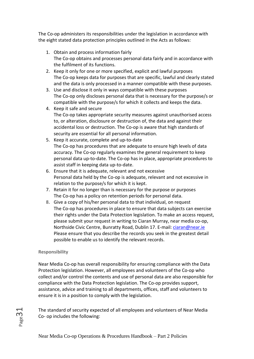The Co-op administers its responsibilities under the legislation in accordance with the eight stated data protection principles outlined in the Acts as follows:

- 1. Obtain and process information fairly The Co-op obtains and processes personal data fairly and in accordance with the fulfilment of its functions.
- 2. Keep it only for one or more specified, explicit and lawful purposes The Co-op keeps data for purposes that are specific, lawful and clearly stated and the data is only processed in a manner compatible with these purposes.
- 3. Use and disclose it only in ways compatible with these purposes The Co-op only discloses personal data that is necessary for the purpose/s or compatible with the purpose/s for which it collects and keeps the data.
- 4. Keep it safe and secure The Co-op takes appropriate security measures against unauthorised access to, or alteration, disclosure or destruction of, the data and against their accidental loss or destruction. The Co-op is aware that high standards of security are essential for all personal information.
- 5. Keep it accurate, complete and up-to-date The Co-op has procedures that are adequate to ensure high levels of data accuracy. The Co-op regularly examines the general requirement to keep personal data up-to-date. The Co-op has in place, appropriate procedures to assist staff in keeping data up-to-date.
- 6. Ensure that it is adequate, relevant and not excessive Personal data held by the Co-op is adequate, relevant and not excessive in relation to the purpose/s for which it is kept.
- 7. Retain it for no longer than is necessary for the purpose or purposes The Co-op has a policy on retention periods for personal data.
- **8.** Give a copy of his/her personal data to that individual, on request The Co-op has procedures in place to ensure that data subjects can exercise their rights under the Data Protection legislation. To make an access request, please submit your request in writing to Ciaran Murray, near media co-op, Northside Civic Centre, Bunratty Road, Dublin 17. E-mail: ciaran@near.ie Please ensure that you describe the records you seek in the greatest detail possible to enable us to identify the relevant records.

#### **Responsibility**

Near Media Co-op has overall responsibility for ensuring compliance with the Data Protection legislation. However, all employees and volunteers of the Co-op who collect and/or control the contents and use of personal data are also responsible for compliance with the Data Protection legislation. The Co-op provides support, assistance, advice and training to all departments, offices, staff and volunteers to ensure it is in a position to comply with the legislation.

The standard of security expected of all employees and volunteers of Near Media Co- op includes the following: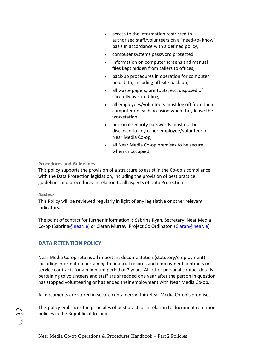- access to the information restricted to authorised staff/volunteers on a "need-to- know" basis in accordance with a defined policy,
- computer systems password protected,
- information on computer screens and manual files kept hidden from callers to offices,
- back-up procedures in operation for computer held data, including off-site back-up,
- all waste papers, printouts, etc. disposed of carefully by shredding,
- all employees/volunteers must log off from their computer on each occasion when they leave the workstation,
- personal security passwords must not be disclosed to any other employee/volunteer of Near Media Co-op,
- all Near Media Co-op premises to be secure when unoccupied,

## **Procedures and Guidelines**

This policy supports the provision of a structure to assist in the Co-op's compliance with the Data Protection legislation, including the provision of best practice guidelines and procedures in relation to all aspects of Data Protection.

#### **Review**

This Policy will be reviewed regularly in light of any legislative or other relevant indicators.

The point of contact for further information is Sabrina Ryan, Secretary, Near Media Co-op (Sabrin[a@near.ie\)](mailto:@near.ie) or Ciaran Murray, Project Co Ordinator [\(Ciaran@near.ie\)](mailto:Ciaran@near.ie)

# <span id="page-32-0"></span>**DATA RETENTION POLICY**

Near Media Co-op retains all important documentation (statutory/employment) including information pertaining to financial records and employment contracts or service contracts for a minimum period of 7 years. All other personal contact details pertaining to volunteers and staff are shredded one year after the person in question has stopped volunteering or has ended their employment with Near Media Co-op.

All documents are stored in secure containers within Near Media Co-op's premises.

This policy embraces the principles of best practice in relation to document retention policies in the Republic of Ireland.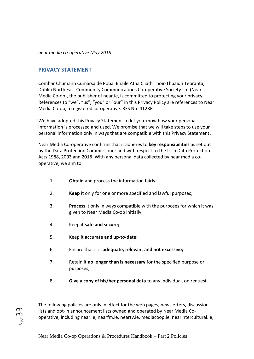<span id="page-33-0"></span>*near media co-operative May 2018* 

## **PRIVACY STATEMENT**

Comhar Chumann Cumarsaide Pobal Bhaile Átha Cliath Thoir-Thuaidh Teoranta, Dublin North East Community Communications Co-operative Society Ltd (Near Media Co-op), the publisher of near.ie, is committed to protecting your privacy. References to "we", "us", "you" or "our" in this Privacy Policy are references to Near Media Co-op, a registered co-operative. RFS No: 4128R

We have adopted this Privacy Statement to let you know how your personal information is processed and used. We promise that we will take steps to use your personal information only in ways that are compatible with this Privacy Statement**.**

Near Media Co-operative confirms that it adheres to **key responsibilities** as set out by the Data Protection Commissioner and with respect to the Irish Data Protection Acts 1988, 2003 and 2018. With any personal data collected by near media cooperative, we aim to:

- 1. **Obtain** [and process the information fairly;](http://www.dataprotection.ie/viewdoc.asp?m=y&fn=/documents/responsibilities/3c.htm)
- 2. **Keep** [it only for one or more specified and lawful purposes;](http://www.dataprotection.ie/viewdoc.asp?m=y&fn=/documents/responsibilities/3d.htm)
- 3. **Process** [it only in ways compatible with the](http://www.dataprotection.ie/viewdoc.asp?m=y&fn=/documents/responsibilities/3e.htm) purposes for which it was given to [Near Media Co-op initially;](http://www.dataprotection.ie/viewdoc.asp?m=y&fn=/documents/responsibilities/3e.htm)
- 4. Keep it **[safe and secure;](http://www.dataprotection.ie/viewdoc.asp?m=y&fn=/documents/responsibilities/3f.htm)**

Page33

- 5. Keep it **[accurate and up-to-date;](http://www.dataprotection.ie/viewdoc.asp?m=y&fn=/documents/responsibilities/3g.htm)**
- 6. Ensure that it is **[adequate, relevant and not excessive;](http://www.dataprotection.ie/viewdoc.asp?m=y&fn=/documents/responsibilities/3h.htm)**
- 7. Retain it **no longer than is necessary** [for the specified purpose or](http://www.dataprotection.ie/viewdoc.asp?m=y&fn=/documents/responsibilities/3i.htm)  [purposes;](http://www.dataprotection.ie/viewdoc.asp?m=y&fn=/documents/responsibilities/3i.htm)
- 8. **[Give a copy of his/her personal data](http://www.dataprotection.ie/viewdoc.asp?m=y&fn=/documents/responsibilities/3j.htm)** to any individual, on request.

The following policies are only in effect for the web pages, newsletters, discussion lists and opt-in announcement lists owned and operated by Near Media Cooperative, including near.ie, nearfm.ie, neartv.ie, mediacoop.ie, nearintercultural.ie,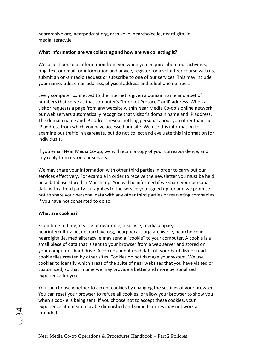neararchive.org, nearpodcast.org, archive.ie, nearchoice.ie, neardigital.ie, medialiteracy.ie

## **What information are we collecting and how are we collecting it?**

We collect personal information from you when you enquire about our activities, ring, text or email for information and advice, register for a volunteer course with us, submit an on-air radio request or subscribe to one of our services. This may include your name, title, email address, physical address and telephone numbers.

Every computer connected to the Internet is given a domain name and a set of numbers that serve as that computer's "Internet Protocol" or IP address. When a visitor requests a page from any website within Near Media Co-op's online network, our web servers automatically recognize that visitor's domain name and IP address. The domain name and IP address reveal nothing personal about you other than the IP address from which you have accessed our site. We use this information to examine our traffic in aggregate, but do not collect and evaluate this information for individuals.

If you email Near Media Co-op, we will retain a copy of your correspondence, and any reply from us, on our servers.

We may share your information with other third parties in order to carry out our services effectively. For example in order to receive the newsletter you must be held on a database stored in Mailchimp. You will be informed if we share your personal data with a third party if it applies to the service you signed up for and we promise not to share your personal data with any other third parties or marketing companies if you have not consented to do so.

## **What are cookies?**

From time to time, near.ie or nearfm.ie, neartv.ie, mediacoop.ie, nearintercultural.ie, neararchive.org, nearpodcast.org, archive.ie, nearchoice.ie, neardigital.ie, medialiteracy.ie may send a "cookie" to your computer. A cookie is a small piece of data that is sent to your browser from a web server and stored on your computer's hard drive. A cookie cannot read data off your hard disk or read cookie files created by other sites. Cookies do not damage your system. We use cookies to identify which areas of the suite of near websites that you have visited or customized, so that in time we may provide a better and more personalized experience for you.

You can choose whether to accept cookies by changing the settings of your browser. You can reset your browser to refuse all cookies, or allow your browser to show you when a cookie is being sent. If you choose not to accept these cookies, your experience at our site may be diminished and some features may not work as intended.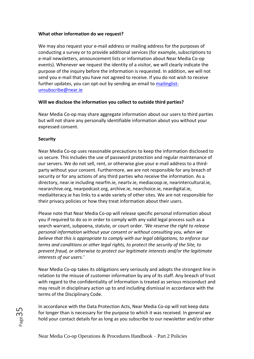#### **What other information do we request?**

We may also request your e-mail address or mailing address for the purposes of conducting a survey or to provide additional services (for example, subscriptions to e-mail newsletters, announcement lists or information about Near Media Co-op events). Whenever we request the identity of a visitor, we will clearly indicate the purpose of the inquiry before the information is requested. In addition, we will not send you e-mail that you have not agreed to receive. If you do not wish to receive further updates, you can opt-out by sending an email to [mailinglist](mailto:mailinglist-unsubscribe@near.ie)[unsubscribe@near.ie](mailto:mailinglist-unsubscribe@near.ie)

## **Will we disclose the information you collect to outside third parties?**

Near Media Co-op may share aggregate information about our users to third parties but will not share any personally identifiable information about you without your expressed consent.

## **Security**

Near Media Co-op uses reasonable precautions to keep the information disclosed to us secure. This includes the use of password protection and regular maintenance of our servers. We do not sell, rent, or otherwise give your e-mail address to a thirdparty without your consent. Furthermore, we are not responsible for any breach of security or for any actions of any third parties who receive the information. As a directory, near.ie including nearfm.ie, neartv.ie, mediacoop.ie, nearintercultural.ie, neararchive.org, nearpodcast.org, archive.ie, nearchoice.ie, neardigital.ie, medialiteracy.ie has links to a wide variety of other sites. We are not responsible for their privacy policies or how they treat information about their users.

Please note that Near Media Co-op will release specific personal information about you if required to do so in order to comply with any valid legal process such as a search warrant, subpoena, statute, or court order. *'We reserve the right to release personal information without your consent or without consulting you, when we believe that this is appropriate to comply with our legal obligations, to enforce our terms and conditions or other legal rights, to protect the security of the Site, to prevent fraud, or otherwise to protect our legitimate interests and/or the legitimate interests of our users.'*

Near Media Co-op takes its obligations very seriously and adopts the strongest line in relation to the misuse of customer information by any of its staff. Any breach of trust with regard to the confidentiality of information is treated as serious misconduct and may result in disciplinary action up to and including dismissal in accordance with the terms of the Disciplinary Code.

In accordance with the Data Protection Acts, Near Media Co-op will not keep data for longer than is necessary for the purpose to which it was received. In general we hold your contact details for as long as you subscribe to our newsletter and/or other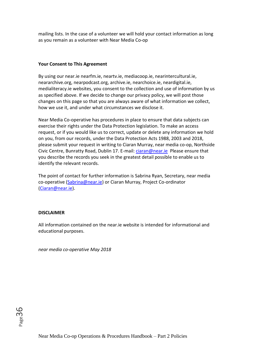mailing lists. In the case of a volunteer we will hold your contact information as long as you remain as a volunteer with Near Media Co-op

#### **Your Consent to This Agreement**

By using our near.ie nearfm.ie, neartv.ie, mediacoop.ie, nearintercultural.ie, neararchive.org, nearpodcast.org, archive.ie, nearchoice.ie, neardigital.ie, medialiteracy.ie websites, you consent to the collection and use of information by us as specified above. If we decide to change our privacy policy, we will post those changes on this page so that you are always aware of what information we collect, how we use it, and under what circumstances we disclose it.

Near Media Co-operative has procedures in place to ensure that data subjects can exercise their rights under the Data Protection legislation. To make an access request, or if you would like us to correct, update or delete any information we hold on you, from our records, under the Data Protection Acts 1988, 2003 and 2018, please submit your request in writing to Ciaran Murray, near media co-op, Northside Civic Centre, Bunratty Road, Dublin 17. E-mail: [ciaran@near.ie](mailto:ciaran@near.ie) Please ensure that you describe the records you seek in the greatest detail possible to enable us to identify the relevant records.

The point of contact for further information is Sabrina Ryan, Secretary, near media co-operative [\(Sabrina@near.ie\)](mailto:Sabrina@near.ie) or Ciaran Murray, Project Co-ordinator [\(Ciaran@near.ie\)](mailto:Ciaran@near.ie).

#### **DISCLAIMER**

All information contained on the near.ie website is intended for informational and educational purposes.

*near media co-operative May 2018*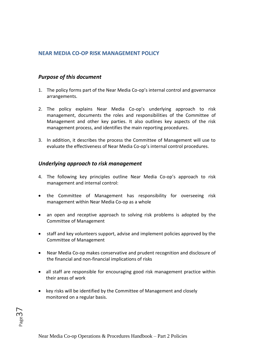### **NEAR MEDIA CO-OP RISK MANAGEMENT POLICY**

### *Purpose of this document*

- 1. The policy forms part of the Near Media Co-op's internal control and governance arrangements.
- 2. The policy explains Near Media Co-op's underlying approach to risk management, documents the roles and responsibilities of the Committee of Management and other key parties. It also outlines key aspects of the risk management process, and identifies the main reporting procedures.
- 3. In addition, it describes the process the Committee of Management will use to evaluate the effectiveness of Near Media Co-op's internal control procedures.

### *Underlying approach to risk management*

- 4. The following key principles outline Near Media Co-op's approach to risk management and internal control:
- the Committee of Management has responsibility for overseeing risk management within Near Media Co-op as a whole
- an open and receptive approach to solving risk problems is adopted by the Committee of Management
- staff and key volunteers support, advise and implement policies approved by the Committee of Management
- Near Media Co-op makes conservative and prudent recognition and disclosure of the financial and non-financial implications of risks
- all staff are responsible for encouraging good risk management practice within their areas of work
- key risks will be identified by the Committee of Management and closely monitored on a regular basis.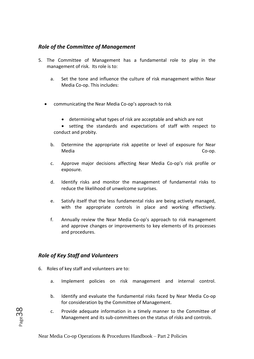### *Role of the Committee of Management*

- 5. The Committee of Management has a fundamental role to play in the management of risk. Its role is to:
	- a. Set the tone and influence the culture of risk management within Near Media Co-op. This includes:
	- communicating the Near Media Co-op's approach to risk
		- determining what types of risk are acceptable and which are not

• setting the standards and expectations of staff with respect to conduct and probity.

- b. Determine the appropriate risk appetite or level of exposure for Near Media Co-op.
- c. Approve major decisions affecting Near Media Co-op's risk profile or exposure.
- d. Identify risks and monitor the management of fundamental risks to reduce the likelihood of unwelcome surprises.
- e. Satisfy itself that the less fundamental risks are being actively managed, with the appropriate controls in place and working effectively.
- f. Annually review the Near Media Co-op's approach to risk management and approve changes or improvements to key elements of its processes and procedures.

## *Role of Key Staff and Volunteers*

- 6. Roles of key staff and volunteers are to:
	- a. Implement policies on risk management and internal control.
	- b. Identify and evaluate the fundamental risks faced by Near Media Co-op for consideration by the Committee of Management.
	- c. Provide adequate information in a timely manner to the Committee of Management and its sub-committees on the status of risks and controls.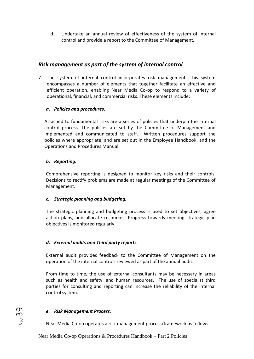d. Undertake an annual review of effectiveness of the system of internal control and provide a report to the Committee of Management.

### *Risk management as part of the system of internal control*

7. The system of internal control incorporates risk management. This system encompasses a number of elements that together facilitate an effective and efficient operation, enabling Near Media Co-op to respond to a variety of operational, financial, and commercial risks. These elements include:

#### *a. Policies and procedures.*

Attached to fundamental risks are a series of policies that underpin the internal control process. The policies are set by the Committee of Management and implemented and communicated to staff. Written procedures support the policies where appropriate, and are set out in the Employee Handbook, and the Operations and Procedures Manual.

### *b. Reporting.*

Comprehensive reporting is designed to monitor key risks and their controls. Decisions to rectify problems are made at regular meetings of the Committee of Management.

#### *c. Strategic planning and budgeting.*

The strategic planning and budgeting process is used to set objectives, agree action plans, and allocate resources. Progress towards meeting strategic plan objectives is monitored regularly.

### *d. External audits and Third party reports.*

External audit provides feedback to the Committee of Management on the operation of the internal controls reviewed as part of the annual audit.

From time to time, the use of external consultants may be necessary in areas such as health and safety, and human resources. The use of specialist third parties for consulting and reporting can increase the reliability of the internal control system.

#### *e. Risk Management Process.*

Near Media Co-op operates a risk management process/framework as follows: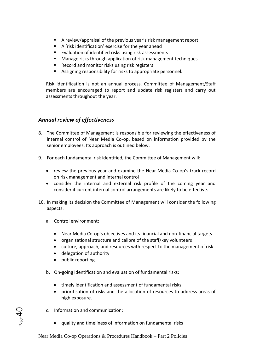- A review/appraisal of the previous year's risk management report
- A 'risk identification' exercise for the year ahead
- Evaluation of identified risks using risk assessments
- Manage risks through application of risk management techniques
- Record and monitor risks using risk registers
- Assigning responsibility for risks to appropriate personnel.

Risk identification is not an annual process. Committee of Management/Staff members are encouraged to report and update risk registers and carry out assessments throughout the year.

# *Annual review of effectiveness*

- 8. The Committee of Management is responsible for reviewing the effectiveness of internal control of Near Media Co-op, based on information provided by the senior employees. Its approach is outlined below.
- 9. For each fundamental risk identified, the Committee of Management will:
	- review the previous year and examine the Near Media Co-op's track record on risk management and internal control
	- consider the internal and external risk profile of the coming year and consider if current internal control arrangements are likely to be effective.
- 10. In making its decision the Committee of Management will consider the following aspects.
	- a. Control environment:
		- Near Media Co-op's objectives and its financial and non-financial targets
		- organisational structure and calibre of the staff/key volunteers
		- culture, approach, and resources with respect to the management of risk
		- delegation of authority
		- public reporting.
	- b. On-going identification and evaluation of fundamental risks:
		- timely identification and assessment of fundamental risks
		- prioritisation of risks and the allocation of resources to address areas of high exposure.
	- c. Information and communication:

Page40

• quality and timeliness of information on fundamental risks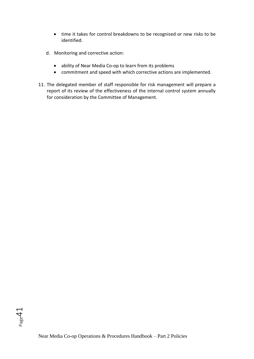- time it takes for control breakdowns to be recognised or new risks to be identified.
- d. Monitoring and corrective action:
	- ability of Near Media Co-op to learn from its problems
	- commitment and speed with which corrective actions are implemented.
- 11. The delegated member of staff responsible for risk management will prepare a report of its review of the effectiveness of the internal control system annually for consideration by the Committee of Management.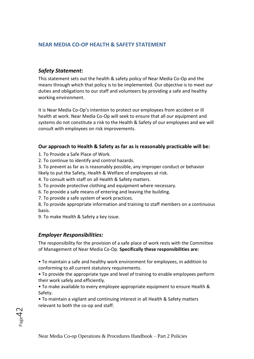## **NEAR MEDIA CO-OP HEALTH & SAFETY STATEMENT**

### *Safety Statement:*

This statement sets out the health & safety policy of Near Media Co-Op and the means through which that policy is to be implemented. Our objective is to meet our duties and obligations to our staff and volunteers by providing a safe and healthy working environment.

It is Near Media Co-Op's intention to protect our employees from accident or ill health at work. Near Media Co-Op will seek to ensure that all our equipment and systems do not constitute a risk to the Health & Safety of our employees and we will consult with employees on risk improvements.

#### **Our approach to Health & Safety as far as is reasonably practicable will be:**

- 1. To Provide a Safe Place of Work.
- 2. To continue to identify and control hazards.
- 3. To prevent as far as is reasonably possible, any improper conduct or behavior likely to put the Safety, Health & Welfare of employees at risk.
- 4. To consult with staff on all Health & Safety matters.
- 5. To provide protective clothing and equipment where necessary.
- 6. To provide a safe means of entering and leaving the building.
- 7. To provide a safe system of work practices.
- 8. To provide appropriate information and training to staff members on a continuous basis.
- 9. To make Health & Safety a key issue.

### *Employer Responsibilities:*

The responsibility for the provision of a safe place of work rests with the Committee of Management of Near Media Co-Op. **Specifically these responsibilities are:**

- To maintain a safe and healthy work environment for employees, in addition to conforming to all current statutory requirements.
- To provide the appropriate type and level of training to enable employees perform their work safely and efficiently.
- To make available to every employee appropriate equipment to ensure Health & Safety.
- To maintain a vigilant and continuing interest in all Health & Safety matters relevant to both the co-op and staff.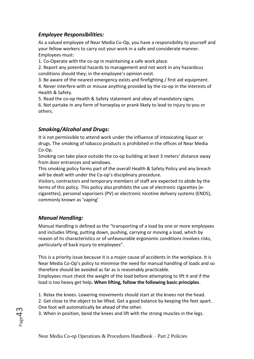## *Employee Responsibilities:*

As a valued employee of Near Media Co-Op, you have a responsibility to yourself and your fellow workers to carry out your work in a safe and considerate manner. Employees must:

1. Co-Operate with the co-op in maintaining a safe work place.

2. Report any potential hazards to management and not work in any hazardous conditions should they; in the employee's opinion exist.

3. Be aware of the nearest emergency exists and firefighting / first aid equipment.

4. Never interfere with or misuse anything provided by the co-op in the interests of Health & Safety.

5. Read the co-op Health & Safety statement and obey all mandatory signs.

6. Not partake in any form of horseplay or prank likely to lead to injury to you or others.

### *Smoking/Alcohol and Drugs:*

It is not permissible to attend work under the influence of intoxicating liquor or drugs. The smoking of tobacco products is prohibited in the offices of Near Media Co-Op.

Smoking can take place outside the co-op building at least 3 meters' distance away from door entrances and windows.

This smoking policy forms part of the overall Health & Safety Policy and any breach will be dealt with under the Co-op's disciplinary procedure.

Visitors, contractors and temporary members of staff are expected to abide by the terms of this policy. This policy also prohibits the use of electronic cigarettes (ecigarettes), personal vaporisers (PV) or electronic nicotine delivery systems (ENDS), commonly known as 'vaping'

### *Manual Handling:*

Manual Handling is defined as the "transporting of a load by one or more employees and includes lifting, putting down, pushing, carrying or moving a load, which by reason of its characteristics or of unfavourable ergonomic conditions involves risks, particularly of back injury to employees".

This is a priority issue because it is a major cause of accidents in the workplace. It is Near Media Co-Op's policy to minimise the need for manual handling of loads and so therefore should be avoided as far as is reasonably practicable.

Employees must check the weight of the load before attempting to lift it and if the load is too heavy get help**. When lifting, follow the following basic principles**.

1. Relax the knees. Lowering movements should start at the knees not the head.

2. Get close to the object to be lifted. Get a good balance by keeping the feet apart. One foot will automatically be ahead of the other.

3. When in position, bend the knees and lift with the strong muscles in the legs.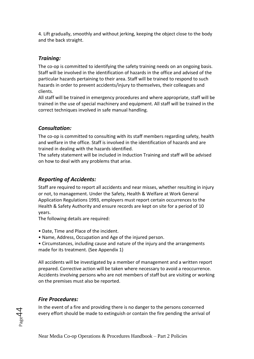4. Lift gradually, smoothly and without jerking, keeping the object close to the body and the back straight.

## *Training:*

The co-op is committed to identifying the safety training needs on an ongoing basis. Staff will be involved in the identification of hazards in the office and advised of the particular hazards pertaining to their area. Staff will be trained to respond to such hazards in order to prevent accidents/injury to themselves, their colleagues and clients.

All staff will be trained in emergency procedures and where appropriate, staff will be trained in the use of special machinery and equipment. All staff will be trained in the correct techniques involved in safe manual handling.

## *Consultation:*

The co-op is committed to consulting with its staff members regarding safety, health and welfare in the office. Staff is involved in the identification of hazards and are trained in dealing with the hazards identified.

The safety statement will be included in Induction Training and staff will be advised on how to deal with any problems that arise.

# *Reporting of Accidents:*

Staff are required to report all accidents and near misses, whether resulting in injury or not, to management. Under the Safety, Health & Welfare at Work General Application Regulations 1993, employers must report certain occurrences to the Health & Safety Authority and ensure records are kept on site for a period of 10 years.

The following details are required:

- Date, Time and Place of the incident.
- Name, Address, Occupation and Age of the injured person.
- Circumstances, including cause and nature of the injury and the arrangements made for its treatment. (See Appendix 1)

All accidents will be investigated by a member of management and a written report prepared. Corrective action will be taken where necessary to avoid a reoccurrence. Accidents involving persons who are not members of staff but are visiting or working on the premises must also be reported.

## *Fire Procedures:*

Page $44$ 

In the event of a fire and providing there is no danger to the persons concerned every effort should be made to extinguish or contain the fire pending the arrival of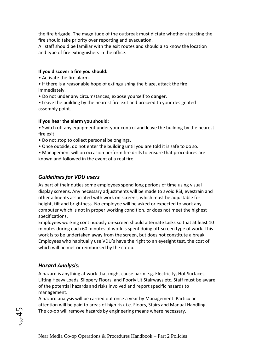the fire brigade. The magnitude of the outbreak must dictate whether attacking the fire should take priority over reporting and evacuation.

All staff should be familiar with the exit routes and should also know the location and type of fire extinguishers in the office.

#### **If you discover a fire you should:**

- Activate the fire alarm.
- If there is a reasonable hope of extinguishing the blaze, attack the fire immediately.
- Do not under any circumstances, expose yourself to danger.
- Leave the building by the nearest fire exit and proceed to your designated assembly point.

#### **If you hear the alarm you should:**

• Switch off any equipment under your control and leave the building by the nearest fire exit.

- Do not stop to collect personal belongings.
- Once outside, do not enter the building until you are told it is safe to do so.

• Management will on occasion perform fire drills to ensure that procedures are known and followed in the event of a real fire.

#### *Guidelines for VDU users*

As part of their duties some employees spend long periods of time using visual display screens. Any necessary adjustments will be made to avoid RSI, eyestrain and other ailments associated with work on screens, which must be adjustable for height, tilt and brightness. No employee will be asked or expected to work any computer which is not in proper working condition, or does not meet the highest specifications.

Employees working continuously on-screen should alternate tasks so that at least 10 minutes during each 60 minutes of work is spent doing off-screen type of work. This work is to be undertaken away from the screen, but does not constitute a break. Employees who habitually use VDU's have the right to an eyesight test, the cost of which will be met or reimbursed by the co-op.

#### *Hazard Analysis:*

A hazard is anything at work that might cause harm e.g. Electricity, Hot Surfaces, Lifting Heavy Loads, Slippery Floors, and Poorly Lit Stairways etc. Staff must be aware of the potential hazards and risks involved and report specific hazards to management.

A hazard analysis will be carried out once a year by Management. Particular attention will be paid to areas of high risk i.e. Floors, Stairs and Manual Handling. The co-op will remove hazards by engineering means where necessary.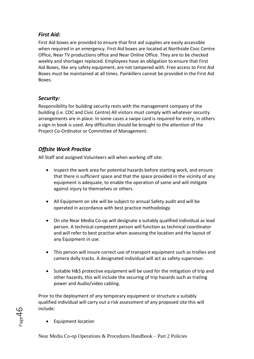## *First Aid:*

First Aid boxes are provided to ensure that first aid supplies are easily accessible when required in an emergency. First Aid boxes are located at Northside Civic Centre Office, Near TV productions office and Near Online Office. They are to be checked weekly and shortages replaced. Employees have an obligation to ensure that First Aid Boxes, like any safety equipment, are not tampered with. Free access to First Aid Boxes must be maintained at all times. Painkillers cannot be provided in the First Aid Boxes.

## *Security:*

Responsibility for building security rests with the management company of the building (i.e. CDC and Civic Centre) All visitors must comply with whatever security arrangements are in place. In some cases a swipe card is required for entry, in others a sign-in book is used. Any difficulties should be brought to the attention of the Project Co-Ordinator or Committee of Management.

# *Offsite Work Practice*

All Staff and assigned Volunteers will when working off site:

- inspect the work area for potential hazards before starting work, and ensure that there is sufficient space and that the space provided in the vicinity of any equipment is adequate, to enable the operation of same and will mitigate against injury to themselves or others.
- All Equipment on site will be subject to annual Safety audit and will be operated in accordance with best practice methodology
- On site Near Media Co-op will designate a suitably qualified individual as lead person. A technical competent person will function as technical coordinator and will refer to best practise when assessing the location and the layout of any Equipment in use.
- This person will insure correct use of transport equipment such as trollies and camera dolly tracks. A designated individual will act as safety supervisor.
- Suitable H&S protective equipment will be used for the mitigation of trip and other hazards, this will include the securing of trip hazards such as trailing power and Audio/video cabling.

Prior to the deployment of any temporary equipment or structure a suitably qualified individual will carry out a risk assessment of any proposed site this will include:

• Equipment location

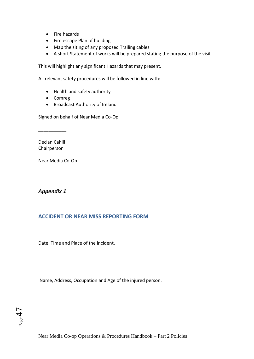- Fire hazards
- Fire escape Plan of building
- Map the siting of any proposed Trailing cables
- A short Statement of works will be prepared stating the purpose of the visit

This will highlight any significant Hazards that may present.

All relevant safety procedures will be followed in line with:

- Health and safety authority
- Comreg
- Broadcast Authority of Ireland

Signed on behalf of Near Media Co-Op

Declan Cahill

\_\_\_\_\_\_\_\_\_\_\_

Chairperson

Near Media Co-Op

*Appendix 1*

### **ACCIDENT OR NEAR MISS REPORTING FORM**

Date, Time and Place of the incident.

Name, Address, Occupation and Age of the injured person.

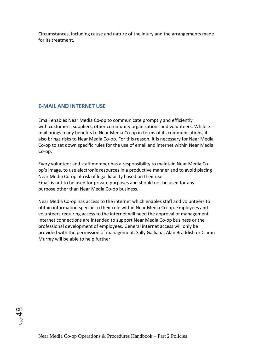Circumstances, including cause and nature of the injury and the arrangements made for its treatment.

### **E-MAIL AND INTERNET USE**

Email enables Near Media Co-op to communicate promptly and efficiently with customers, suppliers, other community organisations and volunteers. While email brings many benefits to Near Media Co-op in terms of its communications, it also brings risks to Near Media Co-op. For this reason, it is necessary for Near Media Co-op to set down specific rules for the use of email and internet within Near Media Co-op.

Every volunteer and staff member has a responsibility to maintain Near Media Coop's image, to use electronic resources in a productive manner and to avoid placing Near Media Co-op at risk of legal liability based on their use. Email is not to be used for private purposes and should not be used for any purpose other than Near Media Co-op business.

Near Media Co-op has access to the internet which enables staff and volunteers to obtain information specific to their role within Near Media Co-op. Employees and volunteers requiring access to the internet will need the approval of management. Internet connections are intended to support Near Media Co-op business or the professional development of employees. General internet access will only be provided with the permission of management. Sally Galliana, Alan Braddish or Ciaran Murray will be able to help further.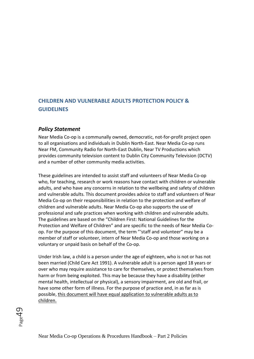# **CHILDREN AND VULNERABLE ADULTS PROTECTION POLICY & GUIDELINES**

### *Policy Statement*

Near Media Co-op is a communally owned, democratic, not-for-profit project open to all organisations and individuals in Dublin North-East. Near Media Co-op runs Near FM, Community Radio for North-East Dublin, Near TV Productions which provides community television content to Dublin City Community Television (DCTV) and a number of other community media activities.

These guidelines are intended to assist staff and volunteers of Near Media Co-op who, for teaching, research or work reasons have contact with children or vulnerable adults, and who have any concerns in relation to the wellbeing and safety of children and vulnerable adults. This document provides advice to staff and volunteers of Near Media Co-op on their responsibilities in relation to the protection and welfare of children and vulnerable adults. Near Media Co-op also supports the use of professional and safe practices when working with children and vulnerable adults. The guidelines are based on the "Children First: National Guidelines for the Protection and Welfare of Children" and are specific to the needs of Near Media Coop. For the purpose of this document, the term "'staff and volunteer" may be a member of staff or volunteer, intern of Near Media Co-op and those working on a voluntary or unpaid basis on behalf of the Co-op.

Under Irish law, a child is a person under the age of eighteen, who is not or has not been married (Child Care Act 1991). A vulnerable adult is a person aged 18 years or over who may require assistance to care for themselves, or protect themselves from harm or from being exploited. This may be because they have a disability (either mental health, intellectual or physical), a sensory impairment, are old and frail, or have some other form of illness. For the purpose of practice and, in as far as is possible, this document will have equal application to vulnerable adults as to children.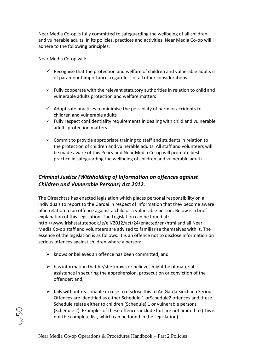Near Media Co-op is fully committed to safeguarding the wellbeing of all children and vulnerable adults. In its policies, practices and activities, Near Media Co-op will adhere to the following principles:

Near Media Co-op will:

- $\checkmark$  Recognise that the protection and welfare of children and vulnerable adults is of paramount importance, regardless of all other considerations
- $\checkmark$  Fully cooperate with the relevant statutory authorities in relation to child and vulnerable adults protection and welfare matters
- $\checkmark$  Adopt safe practices to minimise the possibility of harm or accidents to children and vulnerable adults
- $\checkmark$  Fully respect confidentiality requirements in dealing with child and vulnerable adults protection matters
- $\checkmark$  Commit to provide appropriate training to staff and students in relation to the protection of children and vulnerable adults. All staff and volunteers will be made aware of this Policy and Near Media Co-op will promote best practice in safeguarding the wellbeing of children and vulnerable adults.

## *Criminal Justice (Withholding of Information on offences against Children and Vulnerable Persons) Act 2012.*

The Oireachtas has enacted legislation which places personal responsibility on all individuals to report to the Gardai in respect of information that they become aware of in relation to an offence against a child or a vulnerable person. Below is a brief explanation of this Legislation. The Legislation can be found at: http://www.irishstatutebook.ie/eli/2012/act/24/enacted/en/html and all Near Media Co-op staff and volunteers are advised to familiarise themselves with it. The essence of the legislation is as follows: It is an offence not to disclose information on serious offences against children where a person:

- $\triangleright$  knows or believes an offence has been committed; and
- $\triangleright$  has information that he/she knows or believes might be of material assistance in securing the apprehension, prosecution or conviction of the offender; and,
- $\triangleright$  fails without reasonable excuse to disclose this to An Garda Siochana Serious Offences are identified as either Schedule 1 orSchedule2 offences and these Schedule relate either to children (Schedule) 1 or vulnerable persons (Schedule 2). Examples of these offences include but are not limited to (this is not the complete list, which can be found in the Legislation):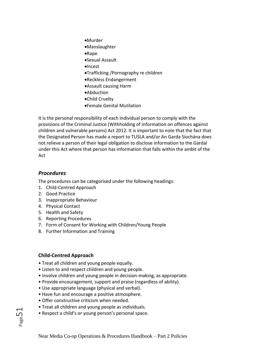- •Murder
- •Manslaughter
- •Rape
- •Sexual Assault
- •Incest
- •Trafficking /Pornography re children
- •Reckless Endangerment
- •Assault causing Harm
- •Abduction
- •Child Cruelty
- •Female Genital Mutilation

It is the personal responsibility of each individual person to comply with the provisions of the Criminal Justice (Withholding of information on offences against children and vulnerable persons) Act 2012. It is important to note that the fact that the Designated Person has made a report to TUSLA and/or An Garda Síochána does not relieve a person of their legal obligation to disclose information to the Gardai under this Act where that person has information that falls within the ambit of the Act

## *Procedures*

The procedures can be categorised under the following headings:

- 1. Child-Centred Approach
- 2. Good Practice
- 3. Inappropriate Behaviour
- 4. Physical Contact
- 5. Health and Safety
- 6. Reporting Procedures
- 7. Form of Consent for Working with Children/Young People
- 8. Further Information and Training

### **Child-Centred Approach**

- Treat all children and young people equally.
- Listen to and respect children and young people.
- Involve children and young people in decision-making, as appropriate.
- Provide encouragement, support and praise (regardless of ability).
- Use appropriate language (physical and verbal).
- Have fun and encourage a positive atmosphere.
- Offer constructive criticism when needed.
- Treat all children and young people as individuals.
- Respect a child's or young person's personal space.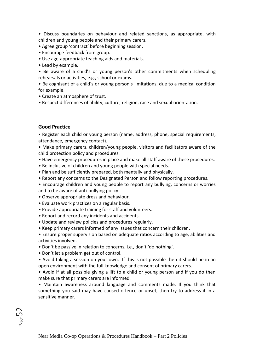• Discuss boundaries on behaviour and related sanctions, as appropriate, with children and young people and their primary carers.

- Agree group 'contract' before beginning session.
- Encourage feedback from group.
- Use age-appropriate teaching aids and materials.
- Lead by example.
- Be aware of a child's or young person's other commitments when scheduling rehearsals or activities, e.g., school or exams.

• Be cognisant of a child's or young person's limitations, due to a medical condition for example.

- Create an atmosphere of trust.
- Respect differences of ability, culture, religion, race and sexual orientation.

#### **Good Practice**

• Register each child or young person (name, address, phone, special requirements, attendance, emergency contact).

• Make primary carers, children/young people, visitors and facilitators aware of the child protection policy and procedures.

- Have emergency procedures in place and make all staff aware of these procedures.
- Be inclusive of children and young people with special needs.
- Plan and be sufficiently prepared, both mentally and physically.
- Report any concerns to the Designated Person and follow reporting procedures.
- Encourage children and young people to report any bullying, concerns or worries and to be aware of anti-bullying policy
- Observe appropriate dress and behaviour.
- Evaluate work practices on a regular basis.
- Provide appropriate training for staff and volunteers.
- Report and record any incidents and accidents.
- Update and review policies and procedures regularly.
- Keep primary carers informed of any issues that concern their children.
- Ensure proper supervision based on adequate ratios according to age, abilities and activities involved.
- Don't be passive in relation to concerns, i.e., don't 'do nothing'.
- Don't let a problem get out of control.
- Avoid taking a session on your own. If this is not possible then it should be in an open environment with the full knowledge and consent of primary carers.

• Avoid if at all possible giving a lift to a child or young person and if you do then make sure that primary carers are informed.

• Maintain awareness around language and comments made. If you think that something you said may have caused offence or upset, then try to address it in a sensitive manner.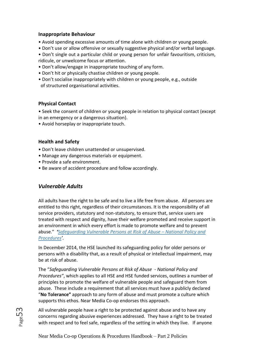#### **Inappropriate Behaviour**

- Avoid spending excessive amounts of time alone with children or young people.
- Don't use or allow offensive or sexually suggestive physical and/or verbal language.
- Don't single out a particular child or young person for unfair favouritism, criticism, ridicule, or unwelcome focus or attention.
- Don't allow/engage in inappropriate touching of any form.
- Don't hit or physically chastise children or young people.
- Don't socialise inappropriately with children or young people, e.g., outside of structured organisational activities.

### **Physical Contact**

- Seek the consent of children or young people in relation to physical contact (except in an emergency or a dangerous situation).
- Avoid horseplay or inappropriate touch.

#### **Health and Safety**

- Don't leave children unattended or unsupervised.
- Manage any dangerous materials or equipment.
- Provide a safe environment.
- Be aware of accident procedure and follow accordingly.

### *Vulnerable Adults*

All adults have the right to be safe and to live a life free from abuse. All persons are entitled to this right, regardless of their circumstances. It is the responsibility of all service providers, statutory and non-statutory, to ensure that, service users are treated with respect and dignity, have their welfare promoted and receive support in an environment in which every effort is made to promote welfare and to prevent abuse." *'[Safeguarding Vulnerable Persons at Risk of Abuse](http://www.hse.ie/eng/services/publications/corporate/personsatriskofabuse.pdf) – National Policy and [Procedures](http://www.hse.ie/eng/services/publications/corporate/personsatriskofabuse.pdf)'.*

In December 2014, the HSE launched its safeguarding policy for older persons or persons with a disability that, as a result of physical or intellectual impairment, may be at risk of abuse.

The "*Safeguarding Vulnerable Persons at Risk of Abuse - National Policy and Procedures"*, which applies to all HSE and HSE funded services, outlines a number of principles to promote the welfare of vulnerable people and safeguard them from abuse. These include a requirement that all services must have a publicly declared "**No Tolerance"** approach to any form of abuse and must promote a culture which supports this ethos. Near Media Co-op endorses this approach.

All vulnerable people have a right to be protected against abuse and to have any concerns regarding abusive experiences addressed. They have a right to be treated with respect and to feel safe, regardless of the setting in which they live. If anyone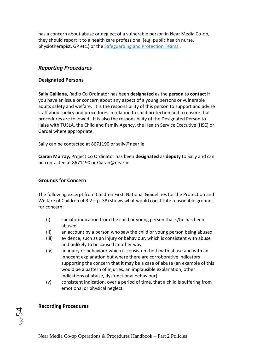has a concern about abuse or neglect of a vulnerable person in Near Media Co-op, they should report it to a health care professional (e.g. public health nurse, physiotherapist, GP etc.) or the [Safeguarding and Protection Teams](http://www.hse.ie/eng/services/list/4/olderpeople/elderabuse/Protect_Yourself/SafeguarProtectTeams.html) .

### *Reporting Procedures*

#### **Designated Persons**

**Sally Galliana,** Radio Co Ordinator has been **designated** as the **person** to **contact** if you have an issue or concern about any aspect of a young persons or vulnerable adults safety and welfare. It is the responsibility of this person to support and advise staff about policy and procedures in relation to child protection and to ensure that procedures are followed. It is also the responsibility of the Designated Person to liaise with TUSLA, the Child and Family Agency, the Health Service Executive (HSE) or Gardai where appropriate.

Sally can be contacted at 8671190 or sally@near.ie

**Ciaran Murray,** Project Co Ordinator has been **designated** as **deputy** to Sally and can be contacted at 8671190 or Ciaran@near.ie

#### **Grounds for Concern**

The following excerpt from Children First: National Guidelines for the Protection and Welfare of Children  $(4.3.2 - p. 38)$  shows what would constitute reasonable grounds for concern;

- (i) specific indication from the child or young person that s/he has been abused
- (ii) an account by a person who saw the child or young person being abused
- (iii) evidence, such as an injury or behaviour, which is consistent with abuse and unlikely to be caused another way
- (iv) an injury or behaviour which is consistent both with abuse and with an innocent explanation but where there are corroborative indicators supporting the concern that it may be a case of abuse (an example of this would be a pattern of injuries, an implausible explanation, other indications of abuse, dysfunctional behaviour)
- (v) consistent indication, over a period of time, that a child is suffering from emotional or physical neglect.

#### **Recording Procedures**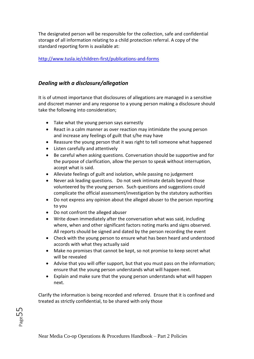The designated person will be responsible for the collection, safe and confidential storage of all information relating to a child protection referral. A copy of the standard reporting form is available at:

<http://www.tusla.ie/children-first/publications-and-forms>

# *Dealing with a disclosure/allegation*

It is of utmost importance that disclosures of allegations are managed in a sensitive and discreet manner and any response to a young person making a disclosure should take the following into consideration;

- Take what the young person says earnestly
- React in a calm manner as over reaction may intimidate the young person and increase any feelings of guilt that s/he may have
- Reassure the young person that it was right to tell someone what happened
- Listen carefully and attentively
- Be careful when asking questions. Conversation should be supportive and for the purpose of clarification, allow the person to speak without interruption, accept what is said.
- Alleviate feelings of guilt and isolation, while passing no judgement
- Never ask leading questions. Do not seek intimate details beyond those volunteered by the young person. Such questions and suggestions could complicate the official assessment/investigation by the statutory authorities
- Do not express any opinion about the alleged abuser to the person reporting to you
- Do not confront the alleged abuser
- Write down immediately after the conversation what was said, including where, when and other significant factors noting marks and signs observed. All reports should be signed and dated by the person recording the event
- Check with the young person to ensure what has been heard and understood accords with what they actually said
- Make no promises that cannot be kept, so not promise to keep secret what will be revealed
- Advise that you will offer support, but that you must pass on the information; ensure that the young person understands what will happen next.
- Explain and make sure that the young person understands what will happen next.

Clarify the information is being recorded and referred. Ensure that it is confined and treated as strictly confidential, to be shared with only those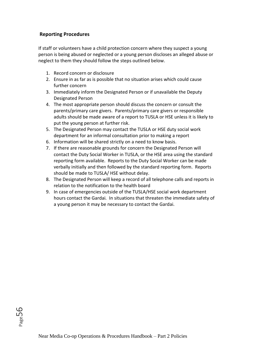#### **Reporting Procedures**

If staff or volunteers have a child protection concern where they suspect a young person is being abused or neglected or a young person discloses an alleged abuse or neglect to them they should follow the steps outlined below.

- 1. Record concern or disclosure
- 2. Ensure in as far as is possible that no situation arises which could cause further concern
- 3. Immediately inform the Designated Person or if unavailable the Deputy Designated Person
- 4. The most appropriate person should discuss the concern or consult the parents/primary care givers. Parents/primary care givers or responsible adults should be made aware of a report to TUSLA or HSE unless it is likely to put the young person at further risk.
- 5. The Designated Person may contact the TUSLA or HSE duty social work department for an informal consultation prior to making a report
- 6. Information will be shared strictly on a need to know basis.
- 7. If there are reasonable grounds for concern the Designated Person will contact the Duty Social Worker in TUSLA, or the HSE area using the standard reporting form available. Reports to the Duty Social Worker can be made verbally initially and then followed by the standard reporting form. Reports should be made to TUSLA/ HSE without delay.
- 8. The Designated Person will keep a record of all telephone calls and reports in relation to the notification to the health board
- 9. In case of emergencies outside of the TUSLA/HSE social work department hours contact the Gardai. In situations that threaten the immediate safety of a young person it may be necessary to contact the Gardai.

Page56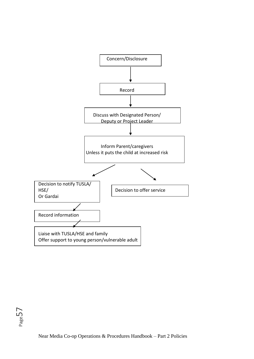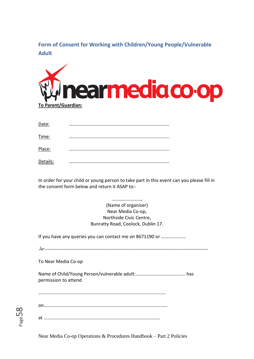**Form of Consent for Working with Children/Young People/Vulnerable Adult**



| Date:    |  |
|----------|--|
| Time:    |  |
| Place:   |  |
| Details: |  |

In order for your child or young person to take part in this event can you please fill in the consent form below and return it ASAP to:-

> ………….…………, (Name of organiser) Near Media Co-op, Northside Civic Centre, Bunratty Road, Coolock, Dublin 17.

If you have any queries you can contact me on 8671190 or …………………

--------------------------------------------------------------------------------------------------------

To Near Media Co-op

Name of Child/Young Person/vulnerable adult:…………………………………... has permission to attend

……………………………………………………………………………………………… on…………………………………………………………………………………………… at ………………………………………………………………………………………

Page58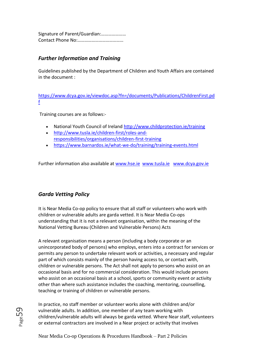Signature of Parent/Guardian:………………… Contact Phone No:…………………………………

### *Further Information and Training*

Guidelines published by the Department of Children and Youth Affairs are contained in the document :

[https://www.dcya.gov.ie/viewdoc.asp?fn=/documents/Publications/ChildrenFirst.pd](https://www.dcya.gov.ie/viewdoc.asp?fn=/documents/Publications/ChildrenFirst.pdf) [f](https://www.dcya.gov.ie/viewdoc.asp?fn=/documents/Publications/ChildrenFirst.pdf)

Training courses are as follows:-

- National Youth Council of Ireland<http://www.childprotection.ie/training>
- [http://www.tusla.ie/children-first/roles-and](http://www.tusla.ie/children-first/roles-and-responsibilities/organisations/children-first-training)[responsibilities/organisations/children-first-training](http://www.tusla.ie/children-first/roles-and-responsibilities/organisations/children-first-training)
- <https://www.barnardos.ie/what-we-do/training/training-events.html>

Further information also available at [www.hse.ie](http://www.hse.ie/) [www.tusla.ie](http://www.tusla.ie/) [www.dcya.gov.ie](http://www.dcya.gov.ie/)

## *Garda Vetting Policy*

It is Near Media Co-op policy to ensure that all staff or volunteers who work with children or vulnerable adults are garda vetted. It is Near Media Co-ops understanding that it is not a relevant organisation, within the meaning of the National Vetting Bureau (Children and Vulnerable Persons) Acts

A relevant organisation means a person (including a body corporate or an unincorporated body of persons) who employs, enters into a contract for services or permits any person to undertake relevant work or activities, a necessary and regular part of which consists mainly of the person having access to, or contact with, children or vulnerable persons. The Act shall not apply to persons who assist on an occasional basis and for no commercial consideration. This would include persons who assist on an occasional basis at a school, sports or community event or activity other than where such assistance includes the coaching, mentoring, counselling, teaching or training of children or vulnerable persons.

In practice, no staff member or volunteer works alone with children and/or vulnerable adults. In addition, one member of any team working with children/vulnerable adults will always be garda vetted. Where Near staff, volunteers or external contractors are involved in a Near project or activity that involves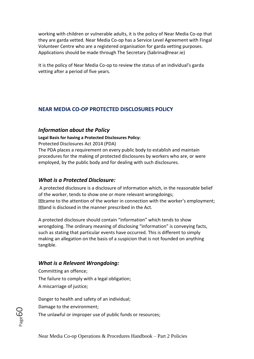working with children or vulnerable adults, it is the policy of Near Media Co-op that they are garda vetted. Near Media Co-op has a Service Level Agreement with Fingal Volunteer Centre who are a registered organisation for garda vetting purposes. Applications should be made through The Secretary (Sabrina@near.ie)

It is the policy of Near Media Co-op to review the status of an individual's garda vetting after a period of five years.

### **NEAR MEDIA CO-OP PROTECTED DISCLOSURES POLICY**

#### *Information about the Policy*

**Legal Basis for having a Protected Disclosures Policy:** 

Protected Disclosures Act 2014 (PDA)

The PDA places a requirement on every public body to establish and maintain procedures for the making of protected disclosures by workers who are, or were employed, by the public body and for dealing with such disclosures.

#### *What is a Protected Disclosure:*

A protected disclosure is a disclosure of information which, in the reasonable belief of the worker, tends to show one or more relevant wrongdoings; came to the attention of the worker in connection with the worker's employment; **Mand is disclosed in the manner prescribed in the Act.** 

A protected disclosure should contain "information" which tends to show wrongdoing. The ordinary meaning of disclosing "information" is conveying facts, such as stating that particular events have occurred. This is different to simply making an allegation on the basis of a suspicion that is not founded on anything tangible.

#### *What is a Relevant Wrongdoing:*

Committing an offence; The failure to comply with a legal obligation; A miscarriage of justice;

Danger to health and safety of an individual;

Damage to the environment;

The unlawful or improper use of public funds or resources;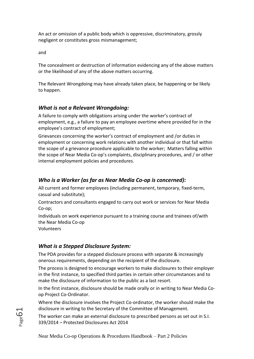An act or omission of a public body which is oppressive, discriminatory, grossly negligent or constitutes gross mismanagement;

and

The concealment or destruction of information evidencing any of the above matters or the likelihood of any of the above matters occurring.

The Relevant Wrongdoing may have already taken place, be happening or be likely to happen.

## *What is not a Relevant Wrongdoing:*

A failure to comply with obligations arising under the worker's contract of employment, e.g., a failure to pay an employee overtime where provided for in the employee's contract of employment;

Grievances concerning the worker's contract of employment and /or duties in employment or concerning work relations with another individual or that fall within the scope of a grievance procedure applicable to the worker; Matters falling within the scope of Near Media Co-op's complaints, disciplinary procedures, and / or other internal employment policies and procedures.

## *Who is a Worker (as far as Near Media Co-op is concerned):*

All current and former employees (including permanent, temporary, fixed-term, casual and substitute);

Contractors and consultants engaged to carry out work or services for Near Media Co-op;

Individuals on work experience pursuant to a training course and trainees of/with the Near Media Co-op

Volunteers

## *What is a Stepped Disclosure System:*

The PDA provides for a stepped disclosure process with separate & increasingly onerous requirements, depending on the recipient of the disclosure.

The process is designed to encourage workers to make disclosures to their employer in the first instance, to specified third parties in certain other circumstances and to make the disclosure of information to the public as a last resort.

In the first instance, disclosure should be made orally or in writing to Near Media Coop Project Co-Ordinator.

Where the disclosure involves the Project Co-ordinator, the worker should make the disclosure in writing to the Secretary of the Committee of Management.

The worker can make an external disclosure to prescribed persons as set out in S.I. 339/2014 – Protected Disclosures Act 2014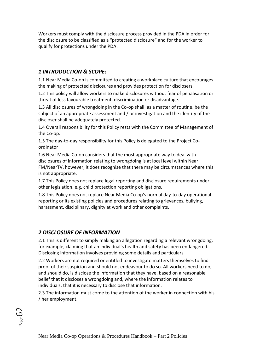Workers must comply with the disclosure process provided in the PDA in order for the disclosure to be classified as a "protected disclosure" and for the worker to qualify for protections under the PDA.

### *1 INTRODUCTION & SCOPE:*

1.1 Near Media Co-op is committed to creating a workplace culture that encourages the making of protected disclosures and provides protection for disclosers.

1.2 This policy will allow workers to make disclosures without fear of penalisation or threat of less favourable treatment, discrimination or disadvantage.

1.3 All disclosures of wrongdoing in the Co-op shall, as a matter of routine, be the subject of an appropriate assessment and / or investigation and the identity of the discloser shall be adequately protected.

1.4 Overall responsibility for this Policy rests with the Committee of Management of the Co-op.

1.5 The day-to-day responsibility for this Policy is delegated to the Project Coordinator

1.6 Near Media Co-op considers that the most appropriate way to deal with disclosures of information relating to wrongdoing is at local level within Near FM/NearTV, however, it does recognise that there may be circumstances where this is not appropriate.

1.7 This Policy does not replace legal reporting and disclosure requirements under other legislation, e.g. child protection reporting obligations.

1.8 This Policy does not replace Near Media Co-op's normal day-to-day operational reporting or its existing policies and procedures relating to grievances, bullying, harassment, disciplinary, dignity at work and other complaints.

### *2 DISCLOSURE OF INFORMATION*

2.1 This is different to simply making an allegation regarding a relevant wrongdoing, for example, claiming that an individual's health and safety has been endangered. Disclosing information involves providing some details and particulars.

2.2 Workers are not required or entitled to investigate matters themselves to find proof of their suspicion and should not endeavour to do so. All workers need to do, and should do, is disclose the information that they have, based on a reasonable belief that it discloses a wrongdoing and, where the information relates to individuals, that it is necessary to disclose that information.

2.3 The information must come to the attention of the worker in connection with his / her employment.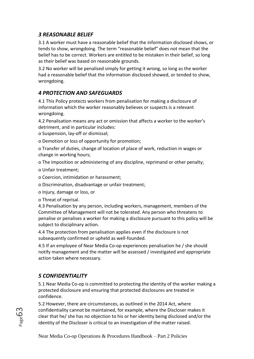## *3 REASONABLE BELIEF*

3.1 A worker must have a reasonable belief that the information disclosed shows, or tends to show, wrongdoing. The term "reasonable belief" does not mean that the belief has to be correct. Workers are entitled to be mistaken in their belief, so long as their belief was based on reasonable grounds.

3.2 No worker will be penalised simply for getting it wrong, so long as the worker had a reasonable belief that the information disclosed showed, or tended to show, wrongdoing.

## *4 PROTECTION AND SAFEGUARDS*

4.1 This Policy protects workers from penalisation for making a disclosure of information which the worker reasonably believes or suspects is a relevant wrongdoing.

4.2 Penalisation means any act or omission that affects a worker to the worker's detriment, and in particular includes:

- o Suspension, lay-off or dismissal;
- o Demotion or loss of opportunity for promotion;

o Transfer of duties, change of location of place of work, reduction in wages or change in working hours;

- o The imposition or administering of any discipline, reprimand or other penalty;
- o Unfair treatment;
- o Coercion, intimidation or harassment;
- o Discrimination, disadvantage or unfair treatment;
- o Injury, damage or loss, or
- o Threat of reprisal.

4.3 Penalisation by any person, including workers, management, members of the Committee of Management will not be tolerated. Any person who threatens to penalise or penalises a worker for making a disclosure pursuant to this policy will be subject to disciplinary action.

4.4 The protection from penalisation applies even if the disclosure is not subsequently confirmed or upheld as well-founded.

4.5 If an employee of Near Media Co-op experiences penalisation he / she should notify management and the matter will be assessed / investigated and appropriate action taken where necessary.

# *5 CONFIDENTIALITY*

5.1 Near Media Co-op is committed to protecting the identity of the worker making a protected disclosure and ensuring that protected disclosures are treated in confidence.

5.2 However, there are circumstances, as outlined in the 2014 Act, where confidentiality cannot be maintained, for example, where the Discloser makes it clear that he/ she has no objection to his or her identity being disclosed and/or the identity of the Discloser is critical to an investigation of the matter raised.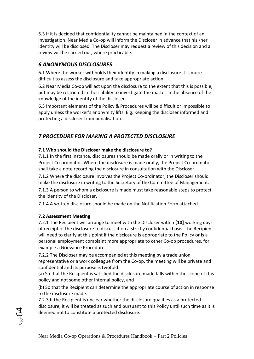5.3 If it is decided that confidentiality cannot be maintained in the context of an investigation, Near Media Co-op will inform the Discloser in advance that his /her identity will be disclosed. The Discloser may request a review of this decision and a review will be carried out, where practicable.

## *6 ANONYMOUS DISCLOSURES*

6.1 Where the worker withholds their identity in making a disclosure it is more difficult to assess the disclosure and take appropriate action.

6.2 Near Media Co-op will act upon the disclosure to the extent that this is possible, but may be restricted in their ability to investigate the matter in the absence of the knowledge of the identity of the discloser.

6.3 Important elements of the Policy & Procedures will be difficult or impossible to apply unless the worker's anonymity lifts. E.g. Keeping the discloser informed and protecting a discloser from penalisation.

# *7 PROCEDURE FOR MAKING A PROTECTED DISCLOSURE*

### **7.1 Who should the Discloser make the disclosure to?**

7.1.1 In the first instance, disclosures should be made orally or in writing to the Project Co-ordinator. Where the disclosure is made orally, the Project Co-ordinator shall take a note recording the disclosure in consultation with the Discloser.

7.1.2 Where the disclosure involves the Project Co-ordinator, the Discloser should make the disclosure in writing to the Secretary of the Committee of Management.

7.1.3 A person to whom a disclosure is made must take reasonable steps to protect the identity of the Discloser.

7.1.4 A written disclosure should be made on the Notification Form attached.

### **7.2 Assessment Meeting**

7.2.1 The Recipient will arrange to meet with the Discloser within **[10]** working days of receipt of the disclosure to discuss it on a strictly confidential basis. The Recipient will need to clarify at this point if the disclosure is appropriate to the Policy or is a personal employment complaint more appropriate to other Co-op procedures, for example a Grievance Procedure.

7.2.2 The Discloser may be accompanied at this meeting by a trade union representative or a work colleague from the Co-op. the meeting will be private and confidential and its purpose is twofold:

(a) So that the Recipient is satisfied the disclosure made falls within the scope of this policy and not some other internal policy, and

(b) So that the Recipient can determine the appropriate course of action in response to the disclosure made.

7.2.3 If the Recipient is unclear whether the disclosure qualifies as a protected disclosure, it will be treated as such and pursuant to this Policy until such time as it is deemed not to constitute a protected disclosure.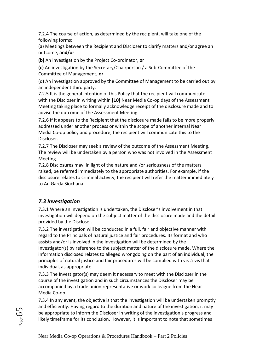7.2.4 The course of action, as determined by the recipient, will take one of the following forms:

(a) Meetings between the Recipient and Discloser to clarify matters and/or agree an outcome, **and/or** 

**(b)** An investigation by the Project Co-ordinator, **or** 

**(c)** An investigation by the Secretary/Chairperson / a Sub-Committee of the Committee of Management, **or** 

(d) An investigation approved by the Committee of Management to be carried out by an independent third party.

7.2.5 It is the general intention of this Policy that the recipient will communicate with the Discloser in writing within **[10]** Near Media Co-op days of the Assessment Meeting taking place to formally acknowledge receipt of the disclosure made and to advise the outcome of the Assessment Meeting.

7.2.6 If it appears to the Recipient that the disclosure made falls to be more properly addressed under another process or within the scope of another internal Near Media Co-op policy and procedure, the recipient will communicate this to the Discloser.

7.2.7 The Discloser may seek a review of the outcome of the Assessment Meeting. The review will be undertaken by a person who was not involved in the Assessment Meeting.

7.2.8 Disclosures may, in light of the nature and /or seriousness of the matters raised, be referred immediately to the appropriate authorities. For example, if the disclosure relates to criminal activity, the recipient will refer the matter immediately to An Garda Síochana.

# *7.3 Investigation*

7.3.1 Where an investigation is undertaken, the Discloser's involvement in that investigation will depend on the subject matter of the disclosure made and the detail provided by the Discloser.

7.3.2 The investigation will be conducted in a full, fair and objective manner with regard to the Principals of natural justice and fair procedures. Its format and who assists and/or is involved in the investigation will be determined by the Investigator(s) by reference to the subject matter of the disclosure made. Where the information disclosed relates to alleged wrongdoing on the part of an individual, the principles of natural justice and fair procedures will be complied with vis-á-vis that individual, as appropriate.

7.3.3 The Investigator(s) may deem it necessary to meet with the Discloser in the course of the investigation and in such circumstances the Discloser may be accompanied by a trade union representative or work colleague from the Near Media Co-op.

7.3.4 In any event, the objective is that the investigation will be undertaken promptly and efficiently. Having regard to the duration and nature of the investigation, it may be appropriate to inform the Discloser in writing of the investigation's progress and likely timeframe for its conclusion. However, it is important to note that sometimes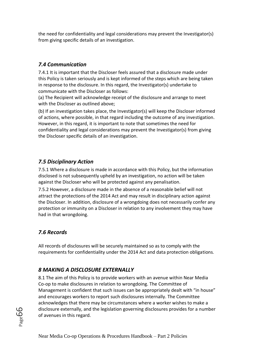the need for confidentiality and legal considerations may prevent the Investigator(s) from giving specific details of an investigation.

# *7.4 Communication*

7.4.1 It is important that the Discloser feels assured that a disclosure made under this Policy is taken seriously and is kept informed of the steps which are being taken in response to the disclosure. In this regard, the Investigator(s) undertake to communicate with the Discloser as follows:

(a) The Recipient will acknowledge receipt of the disclosure and arrange to meet with the Discloser as outlined above;

(b) If an investigation takes place, the Investigator(s) will keep the Discloser informed of actions, where possible, in that regard including the outcome of any investigation. However, in this regard, it is important to note that sometimes the need for confidentiality and legal considerations may prevent the Investigator(s) from giving the Discloser specific details of an investigation.

# *7.5 Disciplinary Action*

7.5.1 Where a disclosure is made in accordance with this Policy, but the information disclosed is not subsequently upheld by an investigation, no action will be taken against the Discloser who will be protected against any penalisation.

7.5.2 However, a disclosure made in the absence of a reasonable belief will not attract the protections of the 2014 Act and may result in disciplinary action against the Discloser. In addition, disclosure of a wrongdoing does not necessarily confer any protection or immunity on a Discloser in relation to any involvement they may have had in that wrongdoing.

# *7.6 Records*

All records of disclosures will be securely maintained so as to comply with the requirements for confidentiality under the 2014 Act and data protection obligations.

# *8 MAKING A DISCLOSURE EXTERNALLY*

8.1 The aim of this Policy is to provide workers with an avenue within Near Media Co-op to make disclosures in relation to wrongdoing. The Committee of Management is confident that such issues can be appropriately dealt with "in house" and encourages workers to report such disclosures internally. The Committee acknowledges that there may be circumstances where a worker wishes to make a disclosure externally, and the legislation governing disclosures provides for a number of avenues in this regard.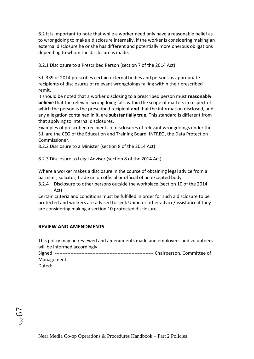8.2 It is important to note that while a worker need only have a reasonable belief as to wrongdoing to make a disclosure internally, if the worker is considering making an external disclosure he or she has different and potentially more onerous obligations depending to whom the disclosure is made.

8.2.1 Disclosure to a Prescribed Person (section 7 of the 2014 Act)

S.I. 339 of 2014 prescribes certain external bodies and persons as appropriate recipients of disclosures of relevant wrongdoings falling within their prescribed remit.

It should be noted that a worker disclosing to a prescribed person must **reasonably believe** that the relevant wrongdoing falls within the scope of matters in respect of which the person is the prescribed recipient **and** that the information disclosed, and any allegation contained in it, are **substantially true.** This standard is different from that applying to internal disclosures.

Examples of prescribed recipients of disclosures of relevant wrongdoings under the S.I. are the CEO of the Education and Training Board, INTREO, the Data Protection Commissioner.

8.2.2 Disclosure to a Minister (section 8 of the 2014 Act)

8.2.3 Disclosure to Legal Adviser (section 8 of the 2014 Act)

Where a worker makes a disclosure in the course of obtaining legal advice from a barrister, solicitor, trade union official or official of an excepted body.

8.2.4 Disclosure to other persons outside the workplace (section 10 of the 2014 Act)

Certain criteria and conditions must be fulfilled in order for such a disclosure to be protected and workers are advised to seek Union or other advice/assistance if they are considering making a section 10 protected disclosure.

#### **REVIEW AND AMENDMENTS**

This policy may be reviewed and amendments made and employees and volunteers will be informed accordingly. Signed: --------------------------------------------------------------- Chairperson, Committee of Management. Dated:------------------------------------------------------------------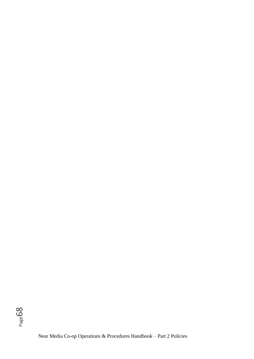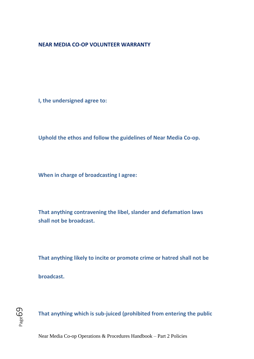### **NEAR MEDIA CO-OP VOLUNTEER WARRANTY**

**I, the undersigned agree to:**

**Uphold the ethos and follow the guidelines of Near Media Co-op.**

**When in charge of broadcasting I agree:**

**That anything contravening the libel, slander and defamation laws shall not be broadcast.**

**That anything likely to incite or promote crime or hatred shall not be**

**broadcast.** 



**That anything which is sub-juiced (prohibited from entering the public**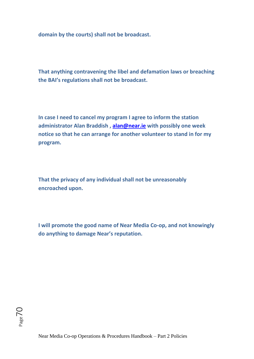**domain by the courts) shall not be broadcast.**

**That anything contravening the libel and defamation laws or breaching the BAI's regulations shall not be broadcast.**

**In case I need to cancel my program I agree to inform the station administrator Alan Braddish , [alan@near.ie](mailto:alan@near.ie) with possibly one week notice so that he can arrange for another volunteer to stand in for my program.** 

**That the privacy of any individual shall not be unreasonably encroached upon.**

**I will promote the good name of Near Media Co-op, and not knowingly do anything to damage Near's reputation.**

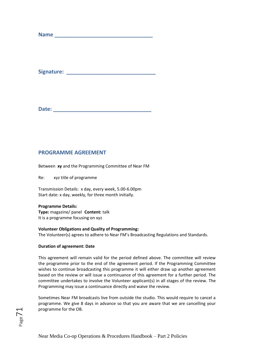**Name \_\_\_\_\_\_\_\_\_\_\_\_\_\_\_\_\_\_\_\_\_\_\_\_\_\_\_\_\_\_\_\_\_**

**Signature: \_\_\_\_\_\_\_\_\_\_\_\_\_\_\_\_\_\_\_\_\_\_\_\_\_\_\_\_\_\_**

**Date: \_\_\_\_\_\_\_\_\_\_\_\_\_\_\_\_\_\_\_\_\_\_\_\_\_\_\_\_\_\_\_\_\_**

### **PROGRAMME AGREEMENT**

Between **xy** and the Programming Committee of Near FM

Re: xyz title of programme

Transmission Details: x day, every week, 5.00-6.00pm Start date: x day, weekly, for three month initially.

#### **Programme Details:**

**Type:** magazine/ panel **Content:** talk It is a programme focusing on xyz

#### **Volunteer Obligations and Quality of Programming:**

The Volunteer(s) agrees to adhere to Near FM's Broadcasting Regulations and Standards.

#### **Duration of agreement: Date**

This agreement will remain valid for the period defined above. The committee will review the programme prior to the end of the agreement period. If the Programming Committee wishes to continue broadcasting this programme it will either draw up another agreement based on the review or will issue a continuance of this agreement for a further period. The committee undertakes to involve the Volunteer applicant(s) in all stages of the review. The Programming may issue a continuance directly and waive the review.

Sometimes Near FM broadcasts live from outside the studio. This would require to cancel a programme. We give 8 days in advance so that you are aware that we are cancelling your programme for the OB.